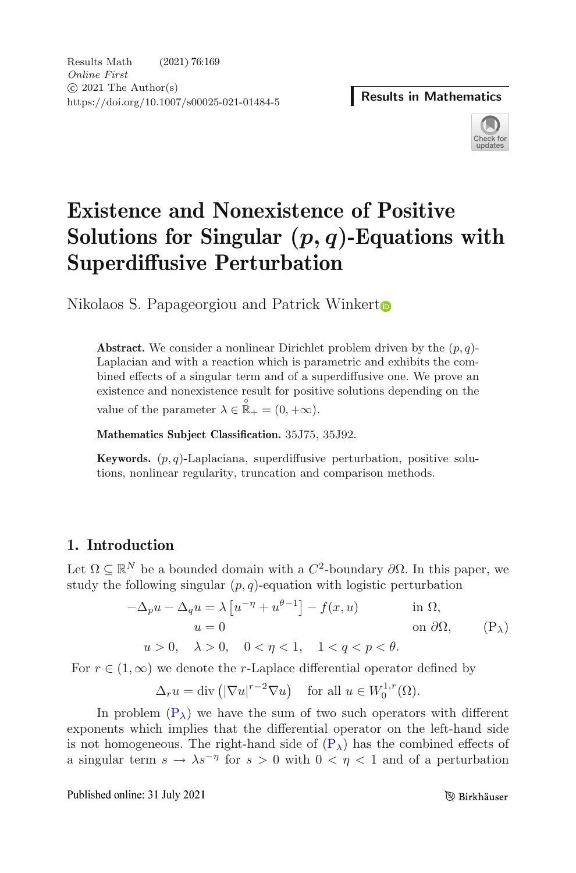

# **Existence and Nonexistence of Positive Solutions for Singular (***p, q***)-Equations with Superdiffusive Perturbation**

Nikolaos S. Papageorgiou and Patrick Winker[t](http://orcid.org/0000-0003-0320-7026)

**Abstract.** We consider a nonlinear Dirichlet problem driven by the  $(p, q)$ -Laplacian and with a reaction which is parametric and exhibits the combined effects of a singular term and of a superdiffusive one. We prove an existence and nonexistence result for positive solutions depending on the value of the parameter  $\lambda \in \mathbb{R}_+ = (0, +\infty)$ .

**Mathematics Subject Classification.** 35J75, 35J92.

**Keywords.**  $(p, q)$ -Laplaciana, superdiffusive perturbation, positive solutions, nonlinear regularity, truncation and comparison methods.

## **1. Introduction**

Let  $\Omega \subseteq \mathbb{R}^N$  be a bounded domain with a  $C^2$ -boundary  $\partial \Omega$ . In this paper, we study the following singular  $(p, q)$ -equation with logistic perturbation

$$
-\Delta_p u - \Delta_q u = \lambda \left[ u^{-\eta} + u^{\theta - 1} \right] - f(x, u) \quad \text{in } \Omega,
$$
  
\n
$$
u = 0 \quad \text{on } \partial \Omega,
$$
  
\n
$$
u > 0, \quad \lambda > 0, \quad 0 < \eta < 1, \quad 1 < q < p < \theta.
$$
 (P<sub>\lambda</sub>)

For  $r \in (1,\infty)$  we denote the r-Laplace differential operator defined by

$$
\Delta_r u = \text{div}\left(|\nabla u|^{r-2} \nabla u\right) \quad \text{for all } u \in W_0^{1,r}(\Omega).
$$

In problem  $(P_{\lambda})$  $(P_{\lambda})$  we have the sum of two such operators with different exponents which implies that the differential operator on the left-hand side is not homogeneous. The right-hand side of  $(P_{\lambda})$  $(P_{\lambda})$  has the combined effects of a singular term  $s \to \lambda s^{-\eta}$  for  $s > 0$  with  $0 < \eta < 1$  and of a perturbation

Published online: 31 July 2021

<span id="page-0-0"></span>**B** Birkhäuser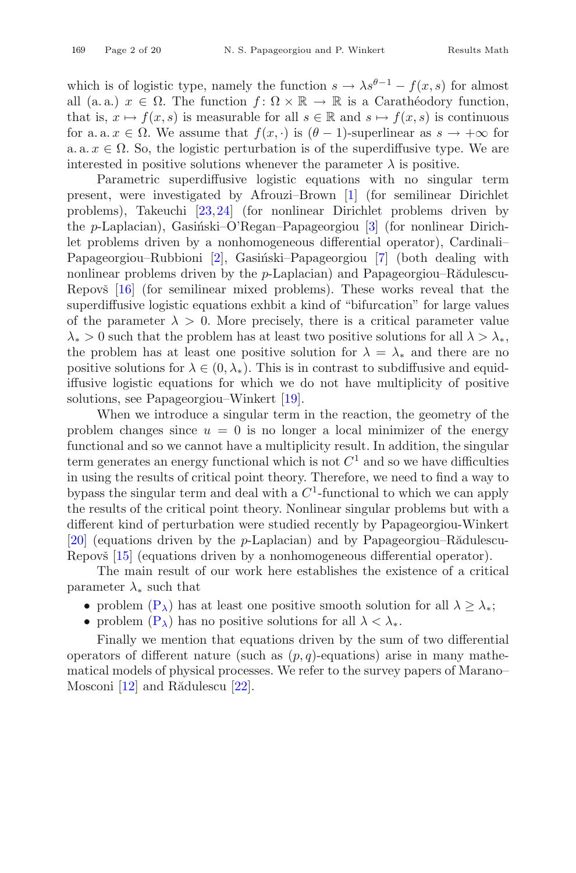which is of logistic type, namely the function  $s \to \lambda s^{\theta-1} - f(x, s)$  for almost all (a. a.)  $x \in \Omega$ . The function  $f: \Omega \times \mathbb{R} \to \mathbb{R}$  is a Carathéodory function, that is,  $x \mapsto f(x, s)$  is measurable for all  $s \in \mathbb{R}$  and  $s \mapsto f(x, s)$  is continuous for a. a.  $x \in \Omega$ . We assume that  $f(x, \cdot)$  is  $(\theta - 1)$ -superlinear as  $s \to +\infty$  for a. a.  $x \in \Omega$ . So, the logistic perturbation is of the superdiffusive type. We are interested in positive solutions whenever the parameter  $\lambda$  is positive.

Parametric superdiffusive logistic equations with no singular term present, were investigated by Afrouzi–Brown [\[1](#page-17-1)] (for semilinear Dirichlet problems), Takeuchi [\[23](#page-18-0)[,24](#page-18-1)] (for nonlinear Dirichlet problems driven by the  $p$ -Laplacian), Gasiński–O'Regan–Papageorgiou [\[3](#page-17-2)] (for nonlinear Dirichlet problems driven by a nonhomogeneous differential operator), Cardinali– Papageorgiou–Rubbioni [\[2](#page-17-3)], Gasiński–Papageorgiou [\[7\]](#page-17-4) (both dealing with nonlinear problems driven by the  $p$ -Laplacian) and Papageorgiou–R $\ddot{\text{a}}$ dulescu-Repovš  $[16]$  $[16]$  (for semilinear mixed problems). These works reveal that the superdiffusive logistic equations exhbit a kind of "bifurcation" for large values of the parameter  $\lambda > 0$ . More precisely, there is a critical parameter value  $\lambda_* > 0$  such that the problem has at least two positive solutions for all  $\lambda > \lambda_*$ , the problem has at least one positive solution for  $\lambda = \lambda_*$  and there are no positive solutions for  $\lambda \in (0, \lambda_*)$ . This is in contrast to subdiffusive and equidiffusive logistic equations for which we do not have multiplicity of positive solutions, see Papageorgiou–Winkert [\[19\]](#page-18-3).

When we introduce a singular term in the reaction, the geometry of the problem changes since  $u = 0$  is no longer a local minimizer of the energy functional and so we cannot have a multiplicity result. In addition, the singular term generates an energy functional which is not  $C<sup>1</sup>$  and so we have difficulties in using the results of critical point theory. Therefore, we need to find a way to bypass the singular term and deal with a  $C<sup>1</sup>$ -functional to which we can apply the results of the critical point theory. Nonlinear singular problems but with a different kind of perturbation were studied recently by Papageorgiou-Winkert [\[20\]](#page-18-4) (equations driven by the  $p$ -Laplacian) and by Papageorgiou–Rădulescu-Repovš  $[15]$  (equations driven by a nonhomogeneous differential operator).

The main result of our work here establishes the existence of a critical parameter  $\lambda_*$  such that

- problem  $(P_{\lambda})$  $(P_{\lambda})$  has at least one positive smooth solution for all  $\lambda \geq \lambda_*$ ;
- problem  $(P_{\lambda})$  $(P_{\lambda})$  has no positive solutions for all  $\lambda < \lambda_*$ .

Finally we mention that equations driven by the sum of two differential operators of different nature (such as  $(p, q)$ -equations) arise in many mathematical models of physical processes. We refer to the survey papers of Marano– Mosconi  $[12]$  and Rădulescu  $[22]$ .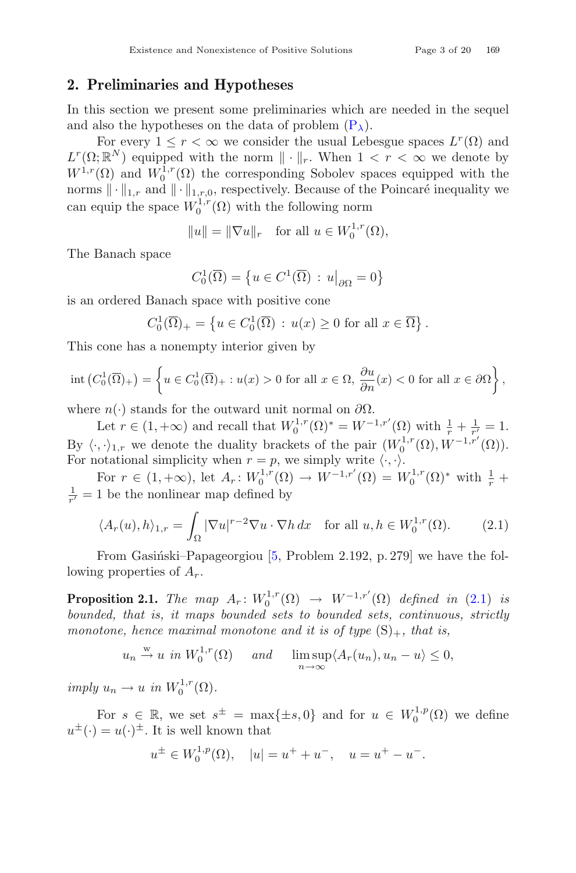#### <span id="page-2-2"></span>**2. Preliminaries and Hypotheses**

In this section we present some preliminaries which are needed in the sequel and also the hypotheses on the data of problem  $(P_{\lambda})$  $(P_{\lambda})$ .

For every  $1 \leq r < \infty$  we consider the usual Lebesgue spaces  $L^r(\Omega)$  and  $L^r(\Omega;\mathbb{R}^N)$  equipped with the norm  $\|\cdot\|_r$ . When  $1 < r < \infty$  we denote by  $W^{1,r}(\Omega)$  and  $W^{1,r}(\Omega)$  the corresponding Sabalay grosses equipped with the  $W^{1,r}(\Omega)$  and  $W_0^{1,r}(\Omega)$  the corresponding Sobolev spaces equipped with the norms  $\|\cdot\|_{1,r}$  and  $\|\cdot\|_{1,r,0}$ , respectively. Because of the Poincaré inequality we can equip the space  $W_0^{1,r}(\Omega)$  with the following norm

$$
||u|| = ||\nabla u||_r \quad \text{for all } u \in W_0^{1,r}(\Omega),
$$

The Banach space

<span id="page-2-0"></span>
$$
C_0^1(\overline{\Omega}) = \left\{ u \in C^1(\overline{\Omega}) \, : \, u\big|_{\partial\Omega} = 0 \right\}
$$

is an ordered Banach space with positive cone

$$
C_0^1(\overline{\Omega})_+ = \left\{ u \in C_0^1(\overline{\Omega}) : u(x) \ge 0 \text{ for all } x \in \overline{\Omega} \right\}.
$$

This cone has a nonempty interior given by

$$
\operatorname{int}\left(C_0^1(\overline{\Omega})_+\right) = \left\{ u \in C_0^1(\overline{\Omega})_+ : u(x) > 0 \text{ for all } x \in \Omega, \, \frac{\partial u}{\partial n}(x) < 0 \text{ for all } x \in \partial\Omega \right\},\
$$

where  $n(\cdot)$  stands for the outward unit normal on  $\partial\Omega$ .

Let  $r \in (1, +\infty)$  and recall that  $W_0^{1,r}(\Omega)^* = W^{-1,r'}(\Omega)$  with  $\frac{1}{r} + \frac{1}{r'} = 1$ . By  $\langle \cdot, \cdot \rangle_{1,r}$  we denote the duality brackets of the pair  $(W_0^{1,r}(\Omega), W^{-1,r'}(\Omega))$ .<br>For notational simplicity when  $r = n$  we simply write  $\langle \cdot, \cdot \rangle$ For notational simplicity when  $r = p$ , we simply write  $\langle \cdot, \cdot \rangle$ .

For  $r \in (1, +\infty)$ , let  $A_r: W_0^{1,r}(\Omega) \to W^{-1,r'}(\Omega) = W_0^{1,r}(\Omega)^*$  with  $\frac{1}{r}$  + 1 be the nonlinear man defined by 1  $\frac{1}{r'}=1$  be the nonlinear map defined by

$$
\langle A_r(u), h \rangle_{1,r} = \int_{\Omega} |\nabla u|^{r-2} \nabla u \cdot \nabla h \, dx \quad \text{for all } u, h \in W_0^{1,r}(\Omega). \tag{2.1}
$$

From Gasiński–Papageorgiou  $[5,$  $[5,$  Problem 2.192, p. 279] we have the following properties of  $A_r$ .

**Proposition 2.1.** *The map*  $A_r: W_0^{1,r}(\Omega) \to W^{-1,r'}(\Omega)$  *defined in* [\(2.1\)](#page-2-0) *is*<br>beauted that is it maps bounded acts beauted acts continuous strictly *bounded, that is, it maps bounded sets to bounded sets, continuous, strictly monotone, hence maximal monotone and it is of type*  $(S)_+$ *, that is,* 

> <span id="page-2-1"></span> $u_n \stackrel{w}{\rightarrow} u$  *in*  $W_0^{1,r}(\Omega)$  *and*  $\limsup_{n \to \infty}$  $\limsup_{n\to\infty}\langle A_r(u_n), u_n-u\rangle\leq 0,$

 $imply u_n \to u \text{ in } W_0^{1,r}(\Omega).$ 

For  $s \in \mathbb{R}$ , we set  $s^{\pm} = \max\{\pm s, 0\}$  and for  $u \in W_0^{1,p}(\Omega)$  we define  $u^{\pm}(\cdot) = u(\cdot)^{\pm}$ . It is well known that

$$
u^{\pm} \in W_0^{1,p}(\Omega), \quad |u| = u^+ + u^-, \quad u = u^+ - u^-.
$$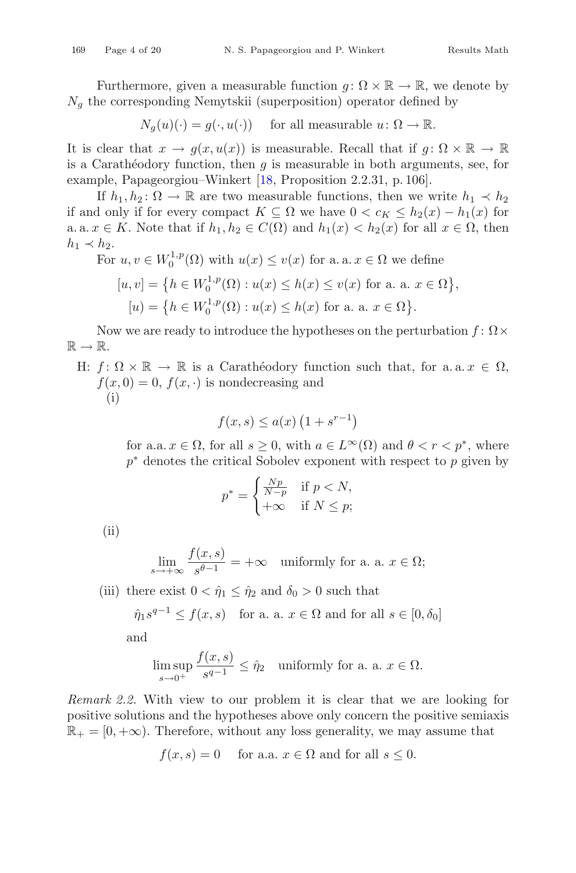Furthermore, given a measurable function  $g: \Omega \times \mathbb{R} \to \mathbb{R}$ , we denote by  $N<sub>g</sub>$  the corresponding Nemytskii (superposition) operator defined by

$$
N_g(u)(\cdot) = g(\cdot, u(\cdot)) \quad \text{ for all measurable } u \colon \Omega \to \mathbb{R}.
$$

It is clear that  $x \to g(x, u(x))$  is measurable. Recall that if  $g: \Omega \times \mathbb{R} \to \mathbb{R}$ is a Carathéodory function, then  $g$  is measurable in both arguments, see, for example, Papageorgiou–Winkert [\[18](#page-18-8), Proposition 2.2.31, p. 106].

If  $h_1, h_2 \colon \Omega \to \mathbb{R}$  are two measurable functions, then we write  $h_1 \prec h_2$ if and only if for every compact  $K \subseteq \Omega$  we have  $0 < c_K \leq h_2(x) - h_1(x)$  for a. a.  $x \in K$ . Note that if  $h_1, h_2 \in C(\Omega)$  and  $h_1(x) < h_2(x)$  for all  $x \in \Omega$ , then  $h_1 \prec h_2.$ <br>For

For 
$$
u, v \in W_0^{1,p}(\Omega)
$$
 with  $u(x) \le v(x)$  for a. a.  $x \in \Omega$  we define  
\n
$$
[u, v] = \left\{ h \in W_0^{1,p}(\Omega) : u(x) \le h(x) \le v(x) \text{ for a. a. } x \in \Omega \right\},
$$
\n
$$
[u) = \left\{ h \in W_0^{1,p}(\Omega) : u(x) \le h(x) \text{ for a. a. } x \in \Omega \right\}.
$$

Now we are ready to introduce the hypotheses on the perturbation  $f: \Omega \times$  $\mathbb{R} \to \mathbb{R}$ .

H:  $f: \Omega \times \mathbb{R} \to \mathbb{R}$  is a Carathéodory function such that, for a.a.  $x \in \Omega$ ,  $f(x, 0) = 0$ ,  $f(x, \cdot)$  is nondecreasing and (i)

$$
f(x,s) \le a(x) \left(1 + s^{r-1}\right)
$$

for a.a.  $x \in \Omega$ , for all  $s \geq 0$ , with  $a \in L^{\infty}(\Omega)$  and  $\theta < r < p^*$ , where  $p^*$  denotes the critical Sobolev exponent with respect to p given by

$$
p^* = \begin{cases} \frac{Np}{N-p} & \text{if } p < N, \\ +\infty & \text{if } N \le p; \end{cases}
$$

(ii)

$$
\lim_{s \to +\infty} \frac{f(x, s)}{s^{\theta - 1}} = +\infty \quad \text{uniformly for a. a. } x \in \Omega;
$$

(iii) there exist  $0 < \hat{\eta}_1 \leq \hat{\eta}_2$  and  $\delta_0 > 0$  such that

$$
\hat{\eta}_1 s^{q-1} \le f(x, s)
$$
 for a. a.  $x \in \Omega$  and for all  $s \in [0, \delta_0]$ 

and

$$
\limsup_{s \to 0^+} \frac{f(x, s)}{s^{q-1}} \le \hat{\eta}_2 \quad \text{uniformly for a. a. } x \in \Omega.
$$

*Remark 2.2.* With view to our problem it is clear that we are looking for positive solutions and the hypotheses above only concern the positive semiaxis  $\mathbb{R}_+ = [0, +\infty)$ . Therefore, without any loss generality, we may assume that

$$
f(x, s) = 0
$$
 for a.a.  $x \in \Omega$  and for all  $s \leq 0$ .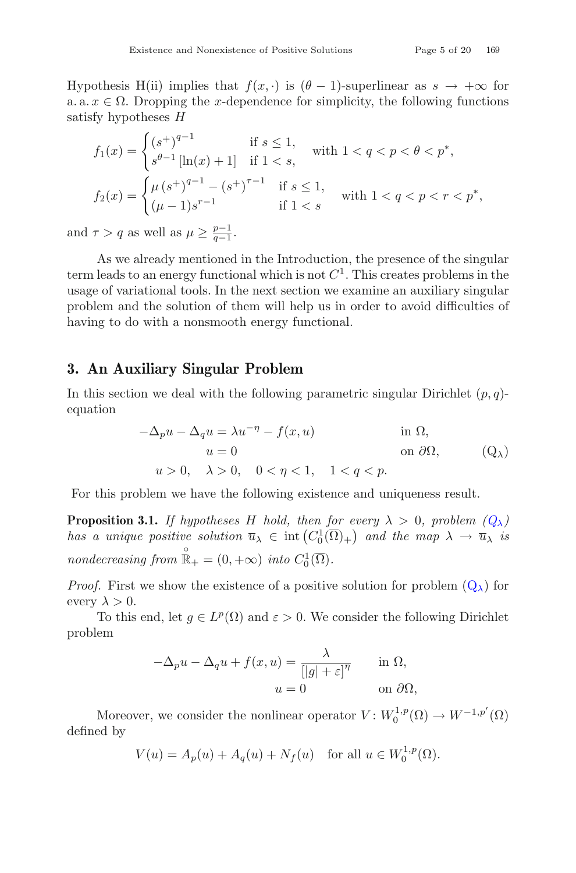Hypothesis H(ii) implies that  $f(x, \cdot)$  is  $(\theta - 1)$ -superlinear as  $s \to +\infty$  for a. a.  $x \in \Omega$ . Dropping the x-dependence for simplicity, the following functions satisfy hypotheses H

$$
f_1(x) = \begin{cases} (s^+)^{q-1} & \text{if } s \le 1, \\ s^{\theta-1} \left[ \ln(x) + 1 \right] & \text{if } 1 < s, \end{cases} \quad \text{with } 1 < q < p < \theta < p^*,
$$
\n
$$
f_2(x) = \begin{cases} \mu \left( s^+ \right)^{q-1} - \left( s^+ \right)^{\tau-1} & \text{if } s \le 1, \\ (\mu - 1)s^{r-1} & \text{if } 1 < s \end{cases} \quad \text{with } 1 < q < p < r < p^*,
$$

and  $\tau > q$  as well as  $\mu \geq \frac{p-1}{q-1}$ .

As we already mentioned in the Introduction, the presence of the singular term leads to an energy functional which is not  $C<sup>1</sup>$ . This creates problems in the usage of variational tools. In the next section we examine an auxiliary singular problem and the solution of them will help us in order to avoid difficulties of having to do with a nonsmooth energy functional.

#### **3. An Auxiliary Singular Problem**

In this section we deal with the following parametric singular Dirichlet  $(p, q)$ equation

<span id="page-4-1"></span><span id="page-4-0"></span>
$$
-\Delta_p u - \Delta_q u = \lambda u^{-\eta} - f(x, u)
$$
 in  $\Omega$ ,  
\n $u = 0$  on  $\partial\Omega$ , (Q <sub>$\lambda$</sub> )  
\n $u > 0$ ,  $\lambda > 0$ ,  $0 < \eta < 1$ ,  $1 < q < p$ .

For this problem we have the following existence and uniqueness result.

**Proposition 3.1.** *If hypotheses* H *hold, then for every*  $\lambda > 0$ *, problem*  $(Q_{\lambda})$  $(Q_{\lambda})$ *has a unique positive solution*  $\overline{u}_{\lambda} \in \text{int}(C_0^1(\overline{\Omega})_+)$  *and the map*  $\lambda \to \overline{u}_{\lambda}$  *is nondecreasing from*  $\mathbb{R}_{+}^{0} = (0, +\infty)$  *into*  $C_{0}^{1}(\overline{\Omega})$ *.* 

*Proof.* First we show the existence of a positive solution for problem  $(Q_{\lambda})$  $(Q_{\lambda})$  for every  $\lambda > 0$ .

To this end, let  $g \in L^p(\Omega)$  and  $\varepsilon > 0$ . We consider the following Dirichlet problem

$$
-\Delta_p u - \Delta_q u + f(x, u) = \frac{\lambda}{[|g| + \varepsilon]^\eta} \quad \text{in } \Omega,
$$
  

$$
u = 0 \quad \text{on } \partial\Omega,
$$

Moreover, we consider the nonlinear operator  $V: W_0^{1,p}(\Omega) \to W^{-1,p'}(\Omega)$ defined by

$$
V(u) = A_p(u) + A_q(u) + N_f(u) \text{ for all } u \in W_0^{1,p}(\Omega).
$$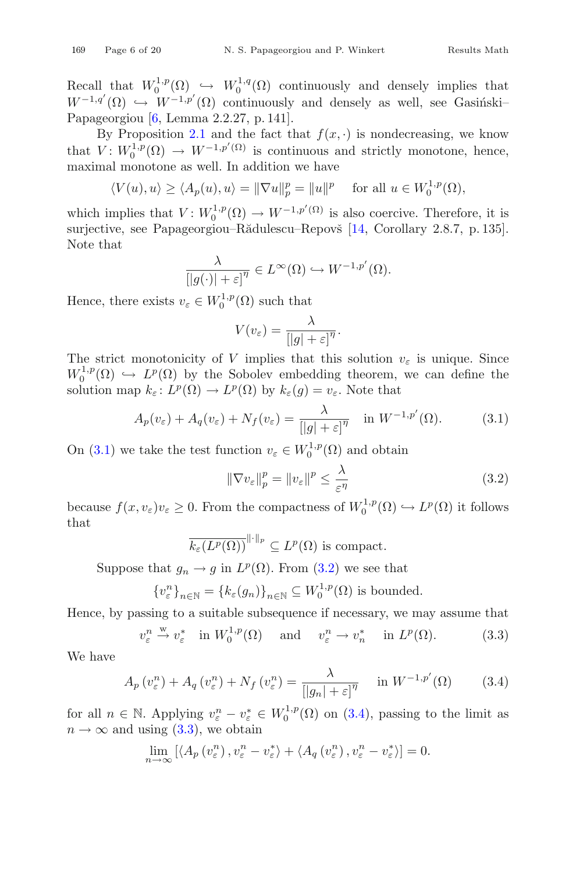Recall that  $W_0^{1,p}(\Omega) \hookrightarrow W_0^{1,q}(\Omega)$  continuously and densely implies that  $W^{-1,q'}(\Omega) \hookrightarrow W^{-1,p'}(\Omega)$  continuously and densely as well, see Gasingski– Papageorgiou [\[6,](#page-17-6) Lemma 2.2.27, p. 141].

By Proposition [2.1](#page-2-1) and the fact that  $f(x, \cdot)$  is nondecreasing, we know that  $V: W_0^{1,p}(\Omega) \to W^{-1,p'(0)}$  is continuous and strictly monotone, hence, maximal monotone as well. In addition we have

$$
\langle V(u), u \rangle \ge \langle A_p(u), u \rangle = \|\nabla u\|_p^p = \|u\|^p \quad \text{ for all } u \in W_0^{1,p}(\Omega),
$$

which implies that  $V: W_0^{1,p}(\Omega) \to W^{-1,p'(\Omega)}$  is also coercive. Therefore, it is surjective, see Papageorgiou–Rădulescu–Repovš [\[14](#page-18-9), Corollary 2.8.7, p. 135]. Note that

$$
\frac{\lambda}{\left[|g(\cdot)|+\varepsilon\right]^\eta} \in L^\infty(\Omega) \hookrightarrow W^{-1,p'}(\Omega).
$$

Hence, there exists  $v_{\varepsilon} \in W_0^{1,p}(\Omega)$  such that

$$
V(v_{\varepsilon}) = \frac{\lambda}{\left[|g| + \varepsilon\right]^{\eta}}.
$$

The strict monotonicity of V implies that this solution  $v_{\varepsilon}$  is unique. Since  $W_0^{1,p}(\Omega) \hookrightarrow L^p(\Omega)$  by the Sobolev embedding theorem, we can define the solution map  $k_{\varepsilon}: L^p(\Omega) \to L^p(\Omega)$  by  $k_{\varepsilon}(g) = v_{\varepsilon}$ . Note that

$$
A_p(v_\varepsilon) + A_q(v_\varepsilon) + N_f(v_\varepsilon) = \frac{\lambda}{[|g| + \varepsilon]^{\eta}} \quad \text{in } W^{-1,p'}(\Omega). \tag{3.1}
$$

On [\(3.1\)](#page-5-0) we take the test function  $v_{\varepsilon} \in W_0^{1,p}(\Omega)$  and obtain

<span id="page-5-3"></span><span id="page-5-1"></span><span id="page-5-0"></span>
$$
\|\nabla v_{\varepsilon}\|_{p}^{p} = \|v_{\varepsilon}\|^{p} \le \frac{\lambda}{\varepsilon^{\eta}}
$$
\n(3.2)

because  $f(x, v_{\varepsilon})v_{\varepsilon} \geq 0$ . From the compactness of  $W_0^{1,p}(\Omega) \hookrightarrow L^p(\Omega)$  it follows that

<span id="page-5-2"></span>
$$
\overline{k_{\varepsilon}(L^p(\Omega))}^{\|\cdot\|_p} \subseteq L^p(\Omega)
$$
 is compact.

Suppose that  $g_n \to g$  in  $L^p(\Omega)$ . From [\(3.2\)](#page-5-1) we see that

$$
\{v_{\varepsilon}^n\}_{n\in\mathbb{N}} = \{k_{\varepsilon}(g_n)\}_{n\in\mathbb{N}} \subseteq W_0^{1,p}(\Omega)
$$
 is bounded.

Hence, by passing to a suitable subsequence if necessary, we may assume that

$$
v_{\varepsilon}^{n} \xrightarrow{w} v_{\varepsilon}^{*} \quad \text{in } W_{0}^{1,p}(\Omega) \quad \text{and} \quad v_{\varepsilon}^{n} \to v_{n}^{*} \quad \text{in } L^{p}(\Omega). \tag{3.3}
$$

We have

$$
A_p(v_\varepsilon^n) + A_q(v_\varepsilon^n) + N_f(v_\varepsilon^n) = \frac{\lambda}{[|g_n| + \varepsilon]^{\eta}} \quad \text{in } W^{-1,p'}(\Omega) \tag{3.4}
$$

for all  $n \in \mathbb{N}$ . Applying  $v_{\varepsilon}^n - v_{\varepsilon}^* \in W_0^{1,p}(\Omega)$  on [\(3.4\)](#page-5-2), passing to the limit as  $n \to \infty$  and using [\(3.3\)](#page-5-3), we obtain

$$
\lim_{n \to \infty} \left[ \langle A_p(v_\varepsilon^n), v_\varepsilon^n - v_\varepsilon^* \rangle + \langle A_q(v_\varepsilon^n), v_\varepsilon^n - v_\varepsilon^* \rangle \right] = 0.
$$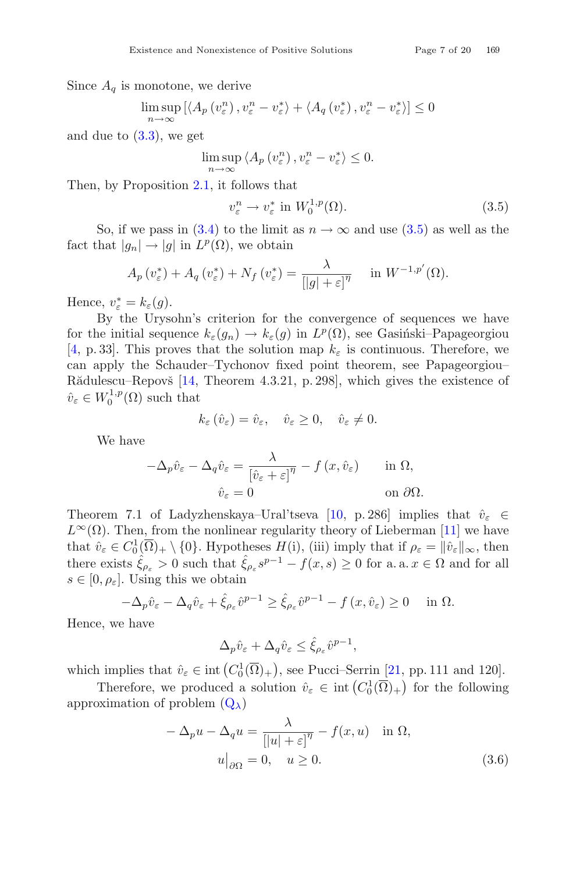Since  $A_q$  is monotone, we derive<br> $\limsup_{n \to \infty} [A_n(x^n)]^{n}$ 

$$
\limsup_{n \to \infty} \left[ \langle A_p(v_{\varepsilon}^n), v_{\varepsilon}^n - v_{\varepsilon}^* \rangle + \langle A_q(v_{\varepsilon}^*), v_{\varepsilon}^n - v_{\varepsilon}^* \rangle \right] \le 0
$$

and due to  $(3.3)$ , we get

$$
\limsup_{n \to \infty} \langle A_p(v_{\varepsilon}^n), v_{\varepsilon}^n - v_{\varepsilon}^* \rangle \le 0.
$$

Then, by Proposition [2.1,](#page-2-1) it follows that

<span id="page-6-0"></span>
$$
v_{\varepsilon}^{n} \to v_{\varepsilon}^{*} \text{ in } W_{0}^{1,p}(\Omega). \tag{3.5}
$$

So, if we pass in [\(3.4\)](#page-5-2) to the limit as  $n \to \infty$  and use [\(3.5\)](#page-6-0) as well as the fact that  $|g_n| \to |g|$  in  $L^p(\Omega)$ , we obtain

$$
A_p(v_{\varepsilon}^*) + A_q(v_{\varepsilon}^*) + N_f(v_{\varepsilon}^*) = \frac{\lambda}{[|g| + \varepsilon]^{\eta}} \quad \text{in } W^{-1,p'}(\Omega).
$$

Hence,  $v_{\varepsilon}^* = k_{\varepsilon}(g)$ .<br>By the Urys

By the Urysohn's criterion for the convergence of sequences we have for the initial sequence  $k_{\varepsilon}(q_n) \to k_{\varepsilon}(q)$  in  $L^p(\Omega)$ , see Gasinski–Papageorgiou [\[4,](#page-17-7) p. 33]. This proves that the solution map  $k_{\varepsilon}$  is continuous. Therefore, we can apply the Schauder–Tychonov fixed point theorem, see Papageorgiou– R $\ddot{\text{add}}$ lescu–Repov $\ddot{\text{s}}$  [\[14,](#page-18-9) Theorem 4.3.21, p. 298], which gives the existence of  $\hat{v}_{\varepsilon} \in W_0^{1,p}(\Omega)$  such that

$$
k_{\varepsilon}(\hat{v}_{\varepsilon}) = \hat{v}_{\varepsilon}, \quad \hat{v}_{\varepsilon} \ge 0, \quad \hat{v}_{\varepsilon} \ne 0.
$$

We have

$$
-\Delta_p \hat{v}_{\varepsilon} - \Delta_q \hat{v}_{\varepsilon} = \frac{\lambda}{\left[\hat{v}_{\varepsilon} + \varepsilon\right]^\eta} - f(x, \hat{v}_{\varepsilon}) \quad \text{in } \Omega,
$$
  

$$
\hat{v}_{\varepsilon} = 0 \quad \text{on } \partial\Omega.
$$

Theorem 7.1 of Ladyzhenskaya–Ural'tseva [\[10,](#page-17-8) p. 286] implies that  $\hat{v}_{\varepsilon} \in$  $L^{\infty}(\Omega)$ . Then, from the nonlinear regularity theory of Lieberman [\[11\]](#page-18-10) we have that  $\hat{v}_{\varepsilon} \in C_0^1(\overline{\Omega})_+ \setminus \{0\}$ . Hypotheses  $H(i)$ , (iii) imply that if  $\rho_{\varepsilon} = ||\hat{v}_{\varepsilon}||_{\infty}$ , then there exists  $\hat{\xi}_{\rho_{\varepsilon}} > 0$  such that  $\hat{\xi}_{\rho_{\varepsilon}} s^{p-1} - f(x, s) \geq 0$  for a. a.  $x \in \Omega$  and for all  $s \in [0, \rho_{\varepsilon}]$ . Using this we obtain

$$
-\Delta_p \hat{v}_{\varepsilon} - \Delta_q \hat{v}_{\varepsilon} + \hat{\xi}_{\rho_{\varepsilon}} \hat{v}^{p-1} \ge \hat{\xi}_{\rho_{\varepsilon}} \hat{v}^{p-1} - f(x, \hat{v}_{\varepsilon}) \ge 0 \quad \text{in } \Omega.
$$

Hence, we have

$$
\Delta_p \hat{v}_{\varepsilon} + \Delta_q \hat{v}_{\varepsilon} \le \hat{\xi}_{\rho_{\varepsilon}} \hat{v}^{p-1},
$$

which implies that  $\hat{v}_{\varepsilon} \in \text{int}\left(C_0^1(\overline{\Omega})_+\right)$ , see Pucci–Serrin [\[21](#page-18-11), pp. 111 and 120].

Therefore, we produced a solution  $\hat{v}_{\varepsilon} \in \text{int}\left(C_0^1(\overline{\Omega})_+\right)$  for the following approximation of problem  $(Q_{\lambda})$  $(Q_{\lambda})$ 

<span id="page-6-1"></span>
$$
-\Delta_p u - \Delta_q u = \frac{\lambda}{[|u| + \varepsilon]^\eta} - f(x, u) \quad \text{in } \Omega,
$$
  

$$
u\big|_{\partial\Omega} = 0, \quad u \ge 0.
$$
 (3.6)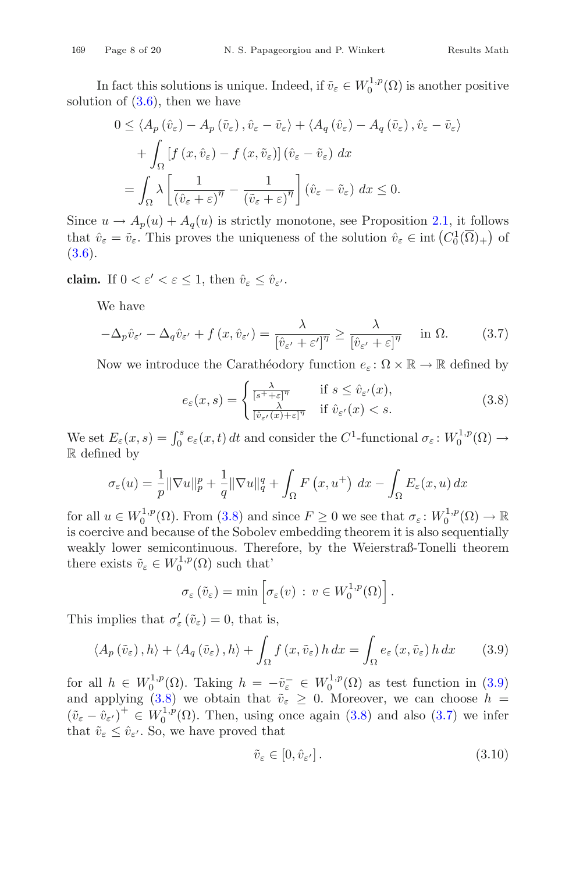In fact this solutions is unique. Indeed, if  $\tilde{v}_{\varepsilon} \in W_0^{1,p}(\Omega)$  is another positive<br>ion of  $(3,6)$ , then we have solution of  $(3.6)$ , then we have

$$
0 \le \langle A_p \left( \hat{v}_{\varepsilon} \right) - A_p \left( \tilde{v}_{\varepsilon} \right), \hat{v}_{\varepsilon} - \tilde{v}_{\varepsilon} \rangle + \langle A_q \left( \hat{v}_{\varepsilon} \right) - A_q \left( \tilde{v}_{\varepsilon} \right), \hat{v}_{\varepsilon} - \tilde{v}_{\varepsilon} \rangle
$$
  
+ 
$$
\int_{\Omega} \left[ f \left( x, \hat{v}_{\varepsilon} \right) - f \left( x, \tilde{v}_{\varepsilon} \right) \right] \left( \hat{v}_{\varepsilon} - \tilde{v}_{\varepsilon} \right) dx
$$
  
= 
$$
\int_{\Omega} \lambda \left[ \frac{1}{\left( \hat{v}_{\varepsilon} + \varepsilon \right)^{\eta}} - \frac{1}{\left( \tilde{v}_{\varepsilon} + \varepsilon \right)^{\eta}} \right] \left( \hat{v}_{\varepsilon} - \tilde{v}_{\varepsilon} \right) dx \le 0.
$$

Since  $u \to A_p(u) + A_q(u)$  is strictly monotone, see Proposition [2.1,](#page-2-1) it follows that  $\hat{v}_{\varepsilon} = \tilde{v}_{\varepsilon}$ . This proves the uniqueness of the solution  $\hat{v}_{\varepsilon} \in \text{int}\left(C_0^1(\overline{\Omega})_+\right)$  of [\(3.6\)](#page-6-1).

**claim.** If  $0 < \varepsilon' < \varepsilon \leq 1$ , then  $\hat{v}_{\varepsilon} \leq \hat{v}_{\varepsilon'}$ .

We have

$$
-\Delta_p \hat{v}_{\varepsilon'} - \Delta_q \hat{v}_{\varepsilon'} + f(x, \hat{v}_{\varepsilon'}) = \frac{\lambda}{\left[\hat{v}_{\varepsilon'} + \varepsilon'\right]^{\eta}} \ge \frac{\lambda}{\left[\hat{v}_{\varepsilon'} + \varepsilon\right]^{\eta}} \quad \text{in } \Omega. \tag{3.7}
$$

Now we introduce the Carathéodory function  $e_{\varepsilon} \colon \Omega \times \mathbb{R} \to \mathbb{R}$  defined by

<span id="page-7-2"></span><span id="page-7-0"></span>
$$
e_{\varepsilon}(x,s) = \begin{cases} \frac{\lambda}{[s^+ + \varepsilon]^{\eta}} & \text{if } s \le \hat{v}_{\varepsilon'}(x),\\ \frac{\lambda}{[\hat{v}_{\varepsilon'}(x) + \varepsilon]^{\eta}} & \text{if } \hat{v}_{\varepsilon'}(x) < s. \end{cases}
$$
(3.8)

We set  $E_{\varepsilon}(x, s) = \int_0^s e_{\varepsilon}(x, t) dt$  and consider the  $C^1$ -functional  $\sigma_{\varepsilon} : W_0^{1, p}(\Omega) \to$ R defined by

$$
\sigma_{\varepsilon}(u) = \frac{1}{p} \|\nabla u\|_{p}^{p} + \frac{1}{q} \|\nabla u\|_{q}^{q} + \int_{\Omega} F(x, u^{+}) dx - \int_{\Omega} E_{\varepsilon}(x, u) dx
$$

for all  $u \in W_0^{1,p}(\Omega)$ . From [\(3.8\)](#page-7-0) and since  $F \ge 0$  we see that  $\sigma_{\varepsilon} : W_0^{1,p}(\Omega) \to \mathbb{R}$ <br>is associate and because of the Sobolay embedding theorem it is also secure tially is coercive and because of the Sobolev embedding theorem it is also sequentially weakly lower semicontinuous. Therefore, by the Weierstraß-Tonelli theorem there exists  $\tilde{v}_{\varepsilon} \in W_0^{1,p}(\Omega)$  such that'

$$
\sigma_{\varepsilon}(\tilde{v}_{\varepsilon}) = \min \left[ \sigma_{\varepsilon}(v) \, : \, v \in W_0^{1,p}(\Omega) \right].
$$

This implies that  $\sigma_{\varepsilon}'(\tilde{v}_{\varepsilon}) = 0$ , that is,

$$
\langle A_p(\tilde{v}_{\varepsilon}), h \rangle + \langle A_q(\tilde{v}_{\varepsilon}), h \rangle + \int_{\Omega} f(x, \tilde{v}_{\varepsilon}) h \, dx = \int_{\Omega} e_{\varepsilon}(x, \tilde{v}_{\varepsilon}) h \, dx \qquad (3.9)
$$

for all  $h \in W_0^{1,p}(\Omega)$ . Taking  $h = -\tilde{v}_\varepsilon^- \in W_0^{1,p}(\Omega)$  as test function in [\(3.9\)](#page-7-1) and applying  $(3.8)$  we obtain that  $\tilde{v}_{\varepsilon} \geq 0$ . Moreover, we can choose  $h =$  $(\tilde{v}_{\varepsilon} - \hat{v}_{\varepsilon'})^+ \in W_0^{1,p}(\Omega)$ . Then, using once again [\(3.8\)](#page-7-0) and also [\(3.7\)](#page-7-2) we infer that  $\tilde{v}_{\varepsilon} \leq \hat{v}_{\varepsilon}$ . So, we have proved that

<span id="page-7-3"></span><span id="page-7-1"></span>
$$
\tilde{v}_{\varepsilon} \in [0, \hat{v}_{\varepsilon'}]. \tag{3.10}
$$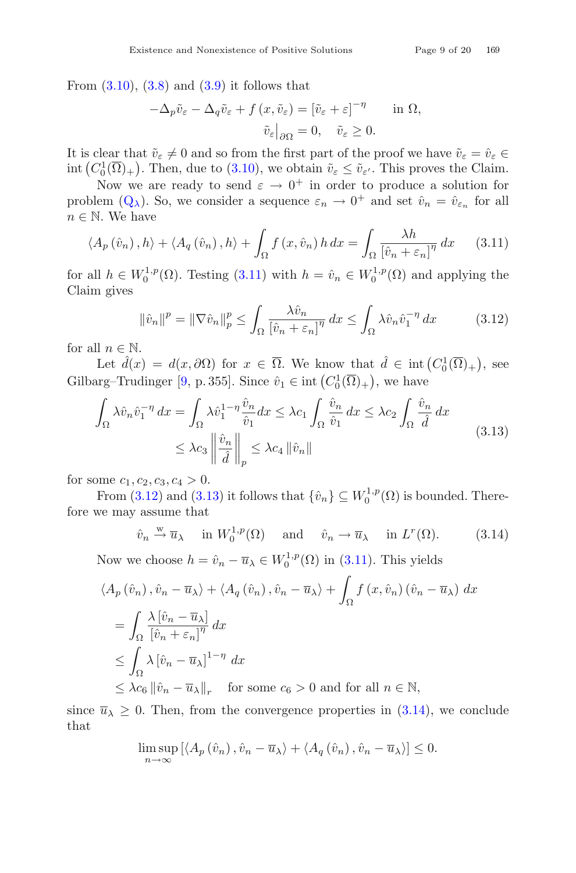$$
-\Delta_p \tilde{v}_{\varepsilon} - \Delta_q \tilde{v}_{\varepsilon} + f(x, \tilde{v}_{\varepsilon}) = [\tilde{v}_{\varepsilon} + \varepsilon]^{-\eta} \quad \text{in } \Omega,
$$

$$
\tilde{v}_{\varepsilon}|_{\partial \Omega} = 0, \quad \tilde{v}_{\varepsilon} \ge 0.
$$

It is clear that  $\tilde{v}_{\varepsilon} \neq 0$  and so from the first part of the proof we have  $\tilde{v}_{\varepsilon} = \hat{v}_{\varepsilon} \in$ <br>int  $(C^{1}(\overline{\Omega})$ ). Then, due to (3.10), we obtain  $\tilde{v}_{\varepsilon} \leq \tilde{v}_{\varepsilon}$ . This proves the Claim int  $(C_0^1(\overline{\Omega})_+)$ . Then, due to [\(3.10\)](#page-7-3), we obtain  $\tilde{v}_{\varepsilon} \leq \tilde{v}_{\varepsilon'}$ . This proves the Claim.

Now we are ready to send  $\varepsilon \to 0^+$  in order to produce a solution for problem  $(Q_\lambda)$  $(Q_\lambda)$ . So, we consider a sequence  $\varepsilon_n \to 0^+$  and set  $\hat{v}_n = \hat{v}_{\varepsilon_n}$  for all  $n \in \mathbb{N}$ . We have

$$
\langle A_p(\hat{v}_n), h \rangle + \langle A_q(\hat{v}_n), h \rangle + \int_{\Omega} f(x, \hat{v}_n) h \, dx = \int_{\Omega} \frac{\lambda h}{[\hat{v}_n + \varepsilon_n]^{\eta}} \, dx \qquad (3.11)
$$

for all  $h \in W_0^{1,p}(\Omega)$ . Testing [\(3.11\)](#page-8-0) with  $h = \hat{v}_n \in W_0^{1,p}(\Omega)$  and applying the Claim gives Claim gives

<span id="page-8-2"></span><span id="page-8-1"></span><span id="page-8-0"></span>
$$
\|\hat{v}_n\|^p = \|\nabla \hat{v}_n\|_p^p \le \int_{\Omega} \frac{\lambda \hat{v}_n}{[\hat{v}_n + \varepsilon_n]^{\eta}} dx \le \int_{\Omega} \lambda \hat{v}_n \hat{v}_1^{-\eta} dx \tag{3.12}
$$

for all  $n \in \mathbb{N}$ .

Let  $\hat{d}(x) = d(x, \partial \Omega)$  for  $x \in \overline{\Omega}$ . We know that  $\hat{d} \in \text{int}(C_0^1(\overline{\Omega})_+)$ , see Gilbarg–Trudinger [\[9,](#page-17-9) p. 355]. Since  $\hat{v}_1 \in \text{int}\left( C_0^1(\overline{\Omega})_+ \right)$ , we have

$$
\int_{\Omega} \lambda \hat{v}_n \hat{v}_1^{-\eta} dx = \int_{\Omega} \lambda \hat{v}_1^{1-\eta} \frac{\hat{v}_n}{\hat{v}_1} dx \le \lambda c_1 \int_{\Omega} \frac{\hat{v}_n}{\hat{v}_1} dx \le \lambda c_2 \int_{\Omega} \frac{\hat{v}_n}{\hat{d}} dx
$$
\n
$$
\le \lambda c_3 \left\| \frac{\hat{v}_n}{\hat{d}} \right\|_p \le \lambda c_4 \left\| \hat{v}_n \right\|
$$
\n(3.13)

for some  $c_1, c_2, c_3, c_4 > 0$ .

From [\(3.12\)](#page-8-1) and [\(3.13\)](#page-8-2) it follows that  $\{\hat{v}_n\} \subseteq W_0^{1,p}(\Omega)$  is bounded. There-<br>we note assume that fore we may assume that

<span id="page-8-3"></span>
$$
\hat{v}_n \stackrel{\text{w}}{\rightarrow} \overline{u}_\lambda
$$
 in  $W_0^{1,p}(\Omega)$  and  $\hat{v}_n \rightarrow \overline{u}_\lambda$  in  $L^r(\Omega)$ . (3.14)

Now we choose  $h = \hat{v}_n - \overline{u}_\lambda \in W_0^{1,p}(\Omega)$  in [\(3.11\)](#page-8-0). This yields

$$
\langle A_p(\hat{v}_n), \hat{v}_n - \overline{u}_\lambda \rangle + \langle A_q(\hat{v}_n), \hat{v}_n - \overline{u}_\lambda \rangle + \int_{\Omega} f(x, \hat{v}_n) (\hat{v}_n - \overline{u}_\lambda) dx
$$
  
\n
$$
= \int_{\Omega} \frac{\lambda [\hat{v}_n - \overline{u}_\lambda]}{[\hat{v}_n + \varepsilon_n]^{\eta}} dx
$$
  
\n
$$
\leq \int_{\Omega} \lambda [\hat{v}_n - \overline{u}_\lambda]^{1-\eta} dx
$$
  
\n
$$
\leq \lambda c_6 ||\hat{v}_n - \overline{u}_\lambda||_r \quad \text{for some } c_6 > 0 \text{ and for all } n \in \mathbb{N},
$$

since  $\overline{u}_{\lambda} \geq 0$ . Then, from the convergence properties in [\(3.14\)](#page-8-3), we conclude that

$$
\limsup_{n \to \infty} \left[ \langle A_p(\hat{v}_n), \hat{v}_n - \overline{u}_\lambda \rangle + \langle A_q(\hat{v}_n), \hat{v}_n - \overline{u}_\lambda \rangle \right] \le 0.
$$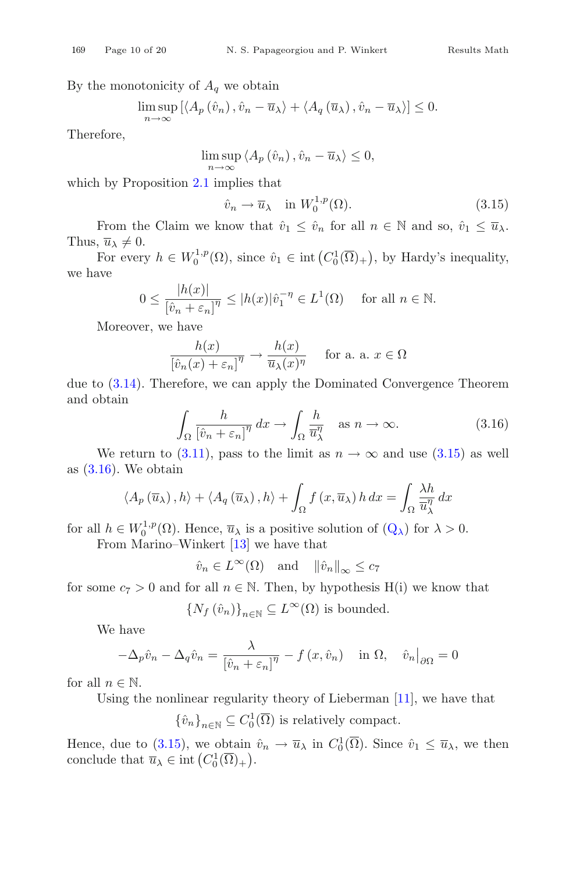By the monotonicity of  $A_q$  we obtain

$$
\limsup_{n \to \infty} \left[ \langle A_p(\hat{v}_n), \hat{v}_n - \overline{u}_\lambda \rangle + \langle A_q(\overline{u}_\lambda), \hat{v}_n - \overline{u}_\lambda \rangle \right] \le 0.
$$

Therefore,

$$
\limsup_{n \to \infty} \langle A_p(\hat{v}_n), \hat{v}_n - \overline{u}_\lambda \rangle \le 0,
$$

which by Proposition [2.1](#page-2-1) implies that

<span id="page-9-0"></span>
$$
\hat{v}_n \to \overline{u}_\lambda \quad \text{in } W_0^{1,p}(\Omega). \tag{3.15}
$$

From the Claim we know that  $\hat{v}_1 \leq \hat{v}_n$  for all  $n \in \mathbb{N}$  and so,  $\hat{v}_1 \leq \overline{u}_{\lambda}$ . Thus,  $\overline{u}_{\lambda} \neq 0$ .

For every  $h \in W_0^{1,p}(\Omega)$ , since  $\hat{v}_1 \in \text{int}\left(C_0^1(\overline{\Omega})_+\right)$ , by Hardy's inequality, we have

$$
0 \le \frac{|h(x)|}{[\hat{v}_n + \varepsilon_n]^{\eta}} \le |h(x)|\hat{v}_1^{-\eta} \in L^1(\Omega) \quad \text{ for all } n \in \mathbb{N}.
$$

Moreover, we have

$$
\frac{h(x)}{[\hat{v}_n(x) + \varepsilon_n]^\eta} \to \frac{h(x)}{\overline{u}_\lambda(x)^\eta} \quad \text{for a. a. } x \in \Omega
$$

due to [\(3.14\)](#page-8-3). Therefore, we can apply the Dominated Convergence Theorem and obtain

<span id="page-9-1"></span>
$$
\int_{\Omega} \frac{h}{\left[\hat{v}_n + \varepsilon_n\right]^{\eta}} \, dx \to \int_{\Omega} \frac{h}{\overline{u}_{\lambda}^{\eta}} \quad \text{as } n \to \infty. \tag{3.16}
$$

We return to [\(3.11\)](#page-8-0), pass to the limit as  $n \to \infty$  and use [\(3.15\)](#page-9-0) as well as  $(3.16)$ . We obtain

$$
\langle A_p(\overline{u}_\lambda), h \rangle + \langle A_q(\overline{u}_\lambda), h \rangle + \int_{\Omega} f(x, \overline{u}_\lambda) h \, dx = \int_{\Omega} \frac{\lambda h}{\overline{u}_\lambda^{\eta}} dx
$$

for all  $h \in W_0^{1,p}(\Omega)$ . Hence,  $\overline{u}_{\lambda}$  is a positive solution of  $(Q_{\lambda})$  $(Q_{\lambda})$  for  $\lambda > 0$ .<br>From Marino Winkort [12] we have that

From Marino–Winkert [\[13](#page-18-12)] we have that

$$
\hat{v}_n \in L^{\infty}(\Omega)
$$
 and  $\|\hat{v}_n\|_{\infty} \le c_7$ 

for some  $c_7 > 0$  and for all  $n \in \mathbb{N}$ . Then, by hypothesis H(i) we know that

$$
\{N_f\left(\hat{v}_n\right)\}_{n\in\mathbb{N}}\subseteq L^{\infty}(\Omega)
$$
 is bounded.

We have

$$
-\Delta_p \hat{v}_n - \Delta_q \hat{v}_n = \frac{\lambda}{\left[\hat{v}_n + \varepsilon_n\right]^\eta} - f(x, \hat{v}_n) \quad \text{in } \Omega, \quad \hat{v}_n|_{\partial\Omega} = 0
$$

for all  $n \in \mathbb{N}$ .

Using the nonlinear regularity theory of Lieberman [\[11](#page-18-10)], we have that

 ${\hat{v}_n}_{n\in\mathbb{N}} \subseteq C_0^1(\overline{\Omega})$  is relatively compact.

Hence, due to [\(3.15\)](#page-9-0), we obtain  $\hat{v}_n \to \overline{u}_\lambda$  in  $C_0^1(\overline{\Omega})$ . Since  $\hat{v}_1 \leq \overline{u}_\lambda$ , we then conclude that  $\overline{u}_{\lambda} \in \text{int}\left(C_0^1(\overline{\Omega})_+\right)$ .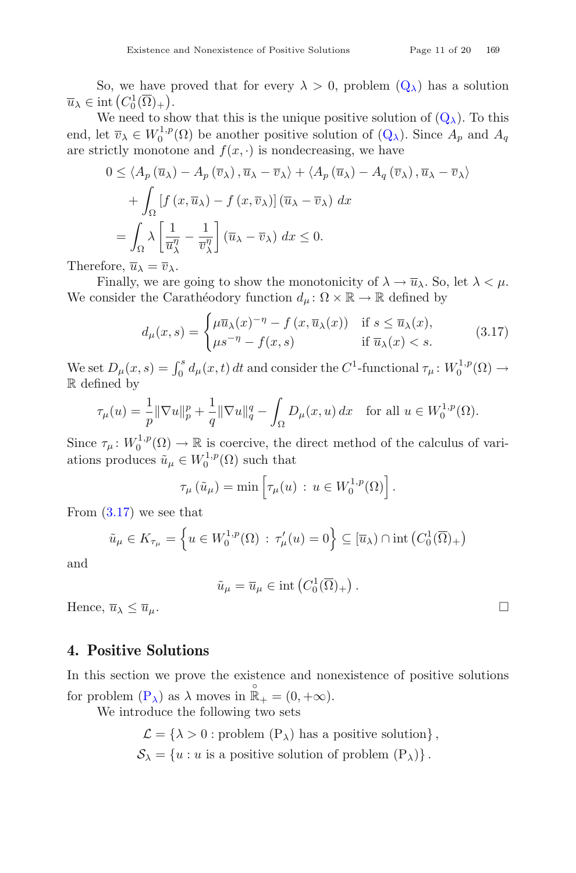So, we have proved that for every  $\lambda > 0$ , problem  $(Q_{\lambda})$  $(Q_{\lambda})$  has a solution  $\overline{u}_{\lambda} \in \text{int}\left(C_0^1(\overline{\Omega})_+\right).$ <br>We need to sh

We need to show that this is the unique positive solution of  $(Q_\lambda)$  $(Q_\lambda)$ . To this end, let  $\overline{v}_\lambda \in W_0^{1,p}(\Omega)$  be another positive solution of  $(Q_\lambda)$  $(Q_\lambda)$ . Since  $A_p$  and  $A_q$ are strictly monotone and  $f(x, \cdot)$  is nondecreasing, we have

$$
0 \le \langle A_p(\overline{u}_{\lambda}) - A_p(\overline{v}_{\lambda}), \overline{u}_{\lambda} - \overline{v}_{\lambda} \rangle + \langle A_p(\overline{u}_{\lambda}) - A_q(\overline{v}_{\lambda}), \overline{u}_{\lambda} - \overline{v}_{\lambda} \rangle
$$

$$
+ \int_{\Omega} \left[ f(x, \overline{u}_{\lambda}) - f(x, \overline{v}_{\lambda}) \right] (\overline{u}_{\lambda} - \overline{v}_{\lambda}) dx
$$

$$
= \int_{\Omega} \lambda \left[ \frac{1}{\overline{u}_{\lambda}^{\eta}} - \frac{1}{\overline{v}_{\lambda}^{\eta}} \right] (\overline{u}_{\lambda} - \overline{v}_{\lambda}) dx \le 0.
$$

Therefore,  $\overline{u}_{\lambda} = \overline{v}_{\lambda}$ .<br>Finally, we are

Finally, we are going to show the monotonicity of  $\lambda \to \overline{u}_{\lambda}$ . So, let  $\lambda < \mu$ . We consider the Carathéodory function  $d_{\mu} : \Omega \times \mathbb{R} \to \mathbb{R}$  defined by

<span id="page-10-0"></span>
$$
d_{\mu}(x,s) = \begin{cases} \mu \overline{u}_{\lambda}(x)^{-\eta} - f(x, \overline{u}_{\lambda}(x)) & \text{if } s \le \overline{u}_{\lambda}(x), \\ \mu s^{-\eta} - f(x,s) & \text{if } \overline{u}_{\lambda}(x) < s. \end{cases}
$$
(3.17)

We set  $D_{\mu}(x, s) = \int_0^s d_{\mu}(x, t) dt$  and consider the  $C^1$ -functional  $\tau_{\mu} \colon W_0^{1, p}(\Omega) \to$ R defined by

$$
\tau_{\mu}(u) = \frac{1}{p} \|\nabla u\|_{p}^{p} + \frac{1}{q} \|\nabla u\|_{q}^{q} - \int_{\Omega} D_{\mu}(x, u) dx \quad \text{for all } u \in W_{0}^{1, p}(\Omega).
$$

Since  $\tau_{\mu} : W_0^{1,p}(\Omega) \to \mathbb{R}$  is coercive, the direct method of the calculus of variations produces  $\tilde{u}_{\mu} \in W_0^{1,p}(\Omega)$  such that

$$
\tau_{\mu}(\tilde{u}_{\mu}) = \min \left[ \tau_{\mu}(u) : u \in W_0^{1,p}(\Omega) \right].
$$

From [\(3.17\)](#page-10-0) we see that

$$
\tilde{u}_{\mu} \in K_{\tau_{\mu}} = \left\{ u \in W_0^{1,p}(\Omega) : \tau_{\mu}'(u) = 0 \right\} \subseteq [\overline{u}_{\lambda}) \cap \text{int}\left(C_0^1(\overline{\Omega})_+\right)
$$

and

$$
\tilde{u}_{\mu} = \overline{u}_{\mu} \in \text{int}\left(C_0^1(\overline{\Omega})_+\right).
$$

Hence,  $\overline{u}_{\lambda} \leq \overline{u}_{\mu}$ .

#### **4. Positive Solutions**

In this section we prove the existence and nonexistence of positive solutions for problem  $(P_{\lambda})$  $(P_{\lambda})$  as  $\lambda$  moves in  $\mathbb{R}_{+}^{\circ} = (0, +\infty)$ .

<span id="page-10-1"></span>We introduce the following two sets

$$
\mathcal{L} = \{ \lambda > 0 : \text{problem } (P_{\lambda}) \text{ has a positive solution} \},
$$
  

$$
\mathcal{S}_{\lambda} = \{ u : u \text{ is a positive solution of problem } (P_{\lambda}) \}.
$$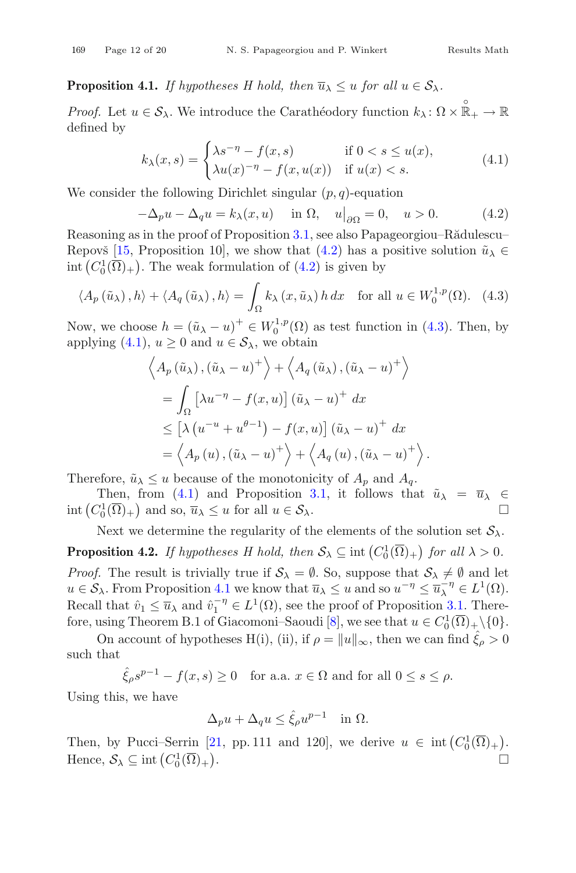**Proposition 4.1.** *If hypotheses H hold, then*  $\overline{u}_{\lambda} \leq u$  *for all*  $u \in S_{\lambda}$ *.* 

*Proof.* Let  $u \in \mathcal{S}_{\lambda}$ . We introduce the Carathéodory function  $k_{\lambda} \colon \Omega \times \mathbb{R}_{+} \to \mathbb{R}$ defined by

<span id="page-11-2"></span><span id="page-11-0"></span>
$$
k_{\lambda}(x,s) = \begin{cases} \lambda s^{-\eta} - f(x,s) & \text{if } 0 < s \le u(x), \\ \lambda u(x)^{-\eta} - f(x,u(x)) & \text{if } u(x) < s. \end{cases} \tag{4.1}
$$

We consider the following Dirichlet singular  $(p, q)$ -equation

$$
-\Delta_p u - \Delta_q u = k_{\lambda}(x, u) \quad \text{in } \Omega, \quad u|_{\partial \Omega} = 0, \quad u > 0. \tag{4.2}
$$
  
Reasoning as in the proof of Proposition 3.1, see also Papageorgiou–Rădulescu–

Repovš [\[15](#page-18-5), Proposition 10], we show that [\(4.2\)](#page-11-0) has a positive solution  $\tilde{u}_{\lambda} \in$ int  $(C_0^1(\overline{\Omega})_+)$ . The weak formulation of  $(4.2)$  is given by

$$
\langle A_p(\tilde{u}_\lambda), h \rangle + \langle A_q(\tilde{u}_\lambda), h \rangle = \int_{\Omega} k_\lambda(x, \tilde{u}_\lambda) h \, dx \quad \text{for all } u \in W_0^{1, p}(\Omega). \tag{4.3}
$$

Now, we choose  $h = (\tilde{u}_{\lambda} - u)^+ \in W_0^{1,p}(\Omega)$  as test function in [\(4.3\)](#page-11-1). Then, by applying [\(4.1\)](#page-11-2),  $u \geq 0$  and  $u \in S_\lambda$ , we obtain

<span id="page-11-1"></span>
$$
\left\langle A_p\left(\tilde{u}_\lambda\right), \left(\tilde{u}_\lambda - u\right)^+\right\rangle + \left\langle A_q\left(\tilde{u}_\lambda\right), \left(\tilde{u}_\lambda - u\right)^+\right\rangle
$$
  
=  $\int_{\Omega} \left[\lambda u^{-\eta} - f(x, u)\right] \left(\tilde{u}_\lambda - u\right)^+ dx$   
 $\leq \left[\lambda \left(u^{-u} + u^{\theta - 1}\right) - f(x, u)\right] \left(\tilde{u}_\lambda - u\right)^+ dx$   
=  $\left\langle A_p\left(u\right), \left(\tilde{u}_\lambda - u\right)^+\right\rangle + \left\langle A_q\left(u\right), \left(\tilde{u}_\lambda - u\right)^+\right\rangle.$ 

Therefore,  $\tilde{u}_{\lambda} \leq u$  because of the monotonicity of  $A_p$  and  $A_q$ .

Then, from [\(4.1\)](#page-11-2) and Proposition [3.1,](#page-4-1) it follows that  $\tilde{u}_{\lambda} = \overline{u}_{\lambda} \in \mathbb{Z}^1(\overline{\Omega})$  and so  $\overline{u}_{\lambda} \leq u$  for all  $u \in S_{\lambda}$ . int  $(C_0^1(\overline{\Omega})_+)$  and so,  $\overline{u}_{\lambda} \leq u$  for all  $u \in \mathcal{S}_{\lambda}$ .

Next we determine the regularity of the elements of the solution set  $S_\lambda$ .

**Proposition 4.2.** *If hypotheses H hold, then*  $S_{\lambda} \subseteq \text{int}(C_0^1(\overline{\Omega})_+)$  *for all*  $\lambda > 0$ *. Proof.* The result is trivially true if  $S_\lambda = \emptyset$ . So, suppose that  $S_\lambda \neq \emptyset$  and let  $u \in \mathcal{S}_{\lambda}$ . From Proposition [4.1](#page-10-1) we know that  $\overline{u}_{\lambda} \leq u$  and so  $u^{-\eta} \leq \overline{u}_{\lambda}^{-\eta} \in L^{1}(\Omega)$ .<br>Becall that  $\hat{u}_{\lambda} \leq \overline{u}_{\lambda}$  and  $\hat{u}^{-\eta} \in L^{1}(\Omega)$  see the proof of Proposition 3.1. There Recall that  $\hat{v}_1 \leq \overline{u}_\lambda$  and  $\hat{v}_1^{-\eta} \in L^1(\Omega)$ , see the proof of Proposition [3.1.](#page-4-1) There-<br>fore using Theorem B 1 of Ciecemoni, Securit<sup>[9]</sup>, we see that  $u \in C^1(\overline{\Omega}) \setminus \{0\}$ fore, using Theorem B.1 of Giacomoni–Saoudi [\[8\]](#page-17-10), we see that  $u \in C_0^1(\overline{\Omega})_+\setminus\{0\}.$ 

On account of hypotheses H(i), (ii), if  $\rho = ||u||_{\infty}$ , then we can find  $\hat{\xi}_{\rho} > 0$ such that

$$
\hat{\xi}_{\rho}s^{p-1} - f(x,s) \ge 0 \quad \text{for a.a. } x \in \Omega \text{ and for all } 0 \le s \le \rho.
$$

Using this, we have

<span id="page-11-3"></span>
$$
\Delta_p u + \Delta_q u \le \hat{\xi}_{\rho} u^{p-1} \quad \text{in } \Omega.
$$

Then, by Pucci–Serrin [\[21,](#page-18-11) pp. 111 and 120], we derive  $u \in \text{int}(C_0^1(\overline{\Omega})_+)$ . Hence,  $S_{\lambda} \subseteq \text{int}(C_0^1(\overline{\Omega})_+)$ . The contract of the contract of the contract of  $\Box$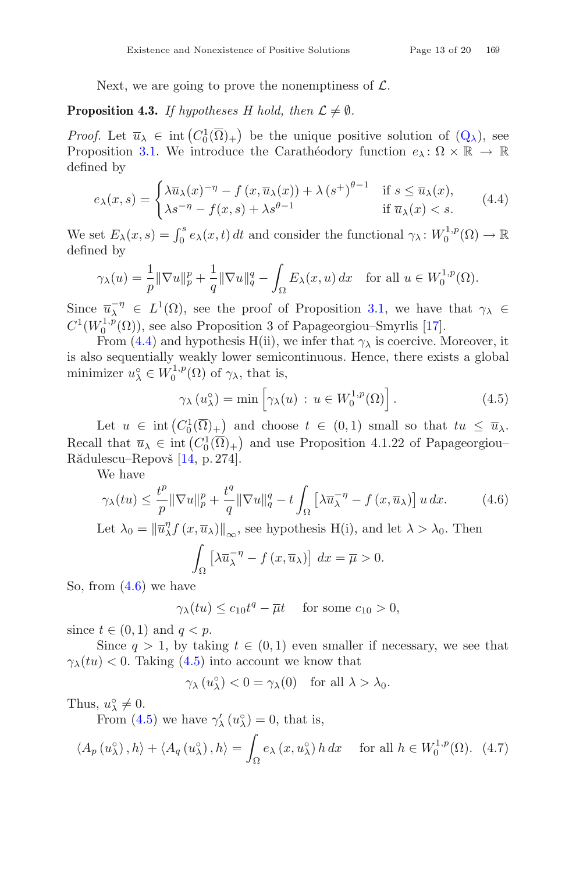Next, we are going to prove the nonemptiness of  $\mathcal{L}$ .

**Proposition 4.3.** *If hypotheses H hold, then*  $\mathcal{L} \neq \emptyset$ *.* 

*Proof.* Let  $\overline{u}_{\lambda} \in \text{int}(C_0^1(\overline{\Omega})_+)$  be the unique positive solution of  $(Q_{\lambda})$  $(Q_{\lambda})$ , see<br>Proposition 3.1 We introduce the Carathéodory function  $\omega: \Omega \times \mathbb{R} \to \mathbb{R}$ Proposition [3.1.](#page-4-1) We introduce the Carathéodory function  $e_\lambda : \Omega \times \mathbb{R} \to \mathbb{R}$ defined by

$$
e_{\lambda}(x,s) = \begin{cases} \lambda \overline{u}_{\lambda}(x)^{-\eta} - f(x, \overline{u}_{\lambda}(x)) + \lambda (s^+)^{\theta - 1} & \text{if } s \le \overline{u}_{\lambda}(x), \\ \lambda s^{-\eta} - f(x,s) + \lambda s^{\theta - 1} & \text{if } \overline{u}_{\lambda}(x) < s. \end{cases}
$$
(4.4)

We set  $E_{\lambda}(x, s) = \int_0^s e_{\lambda}(x, t) dt$  and consider the functional  $\gamma_{\lambda}: W_0^{1, p}(\Omega) \to \mathbb{R}$ defined by

$$
\gamma_{\lambda}(u) = \frac{1}{p} \|\nabla u\|_{p}^{p} + \frac{1}{q} \|\nabla u\|_{q}^{q} - \int_{\Omega} E_{\lambda}(x, u) dx \quad \text{for all } u \in W_{0}^{1, p}(\Omega).
$$

Since  $\overline{u}_{\lambda}^{-\eta} \in L^1(\Omega)$ , see the proof of Proposition [3.1,](#page-4-1) we have that  $\gamma_{\lambda} \in C^1(W^{1,p}(\Omega))$  googles Proposition 3 of Papagoography Smurlig [17]  $C^1(W_0^{1,p}(\Omega))$ , see also Proposition 3 of Papageorgiou–Smyrlis [\[17](#page-18-13)].

From [\(4.4\)](#page-12-0) and hypothesis H(ii), we infer that  $\gamma_{\lambda}$  is coercive. Moreover, it is also sequentially weakly lower semicontinuous. Hence, there exists a global minimizer  $u^{\circ}_{\lambda} \in W_0^{1,p}(\Omega)$  of  $\gamma_{\lambda}$ , that is,

<span id="page-12-2"></span><span id="page-12-0"></span>
$$
\gamma_{\lambda}(u_{\lambda}^{\circ}) = \min \left[ \gamma_{\lambda}(u) : u \in W_0^{1,p}(\Omega) \right]. \tag{4.5}
$$

Let  $u \in \text{int}(C_0^1(\overline{\Omega})_+)$  and choose  $t \in (0,1)$  small so that  $tu \le \overline{u}_{\lambda}$ . Recall that  $\overline{u}_{\lambda} \in \text{int}\left(C_0^1(\overline{\Omega})_+\right)$  and use Proposition 4.1.22 of Papageorgiou–<br>Păduloscu, Papavă [14, p. 374] Rădulescu–Repovš [\[14](#page-18-9), p. 274].

We have

$$
\gamma_{\lambda}(tu) \leq \frac{t^p}{p} \|\nabla u\|_p^p + \frac{t^q}{q} \|\nabla u\|_q^q - t \int_{\Omega} \left[\lambda \overline{u}_{\lambda}^{-\eta} - f\left(x, \overline{u}_{\lambda}\right)\right] u \, dx. \tag{4.6}
$$

Let  $\lambda_0 = \left\| \overline{u}_{\lambda}^{\eta} f(x, \overline{u}_{\lambda}) \right\|_{\infty}$ , see hypothesis H(i), and let  $\lambda > \lambda_0$ . Then

<span id="page-12-1"></span>
$$
\int_{\Omega} \left[ \lambda \overline{u}_{\lambda}^{-\eta} - f(x, \overline{u}_{\lambda}) \right] dx = \overline{\mu} > 0.
$$

So, from [\(4.6\)](#page-12-1) we have

$$
\gamma_{\lambda}(tu) \le c_{10}t^q - \overline{\mu}t \quad \text{ for some } c_{10} > 0,
$$

since  $t \in (0,1)$  and  $q < p$ .

Since  $q > 1$ , by taking  $t \in (0,1)$  even smaller if necessary, we see that  $\gamma_{\lambda}(tu) < 0$ . Taking [\(4.5\)](#page-12-2) into account we know that

<span id="page-12-3"></span>
$$
\gamma_{\lambda}(u_{\lambda}^{\circ}) < 0 = \gamma_{\lambda}(0) \text{ for all } \lambda > \lambda_0.
$$

Thus,  $u_{\lambda}^{\circ} \neq 0$ .<br>From (*A* 

From [\(4.5\)](#page-12-2) we have  $\gamma'_{\lambda}(u_{\lambda}^{\circ})=0$ , that is,

$$
\langle A_p(u_\lambda^\circ), h \rangle + \langle A_q(u_\lambda^\circ), h \rangle = \int_{\Omega} e_\lambda(x, u_\lambda^\circ) h \, dx \quad \text{for all } h \in W_0^{1,p}(\Omega). \tag{4.7}
$$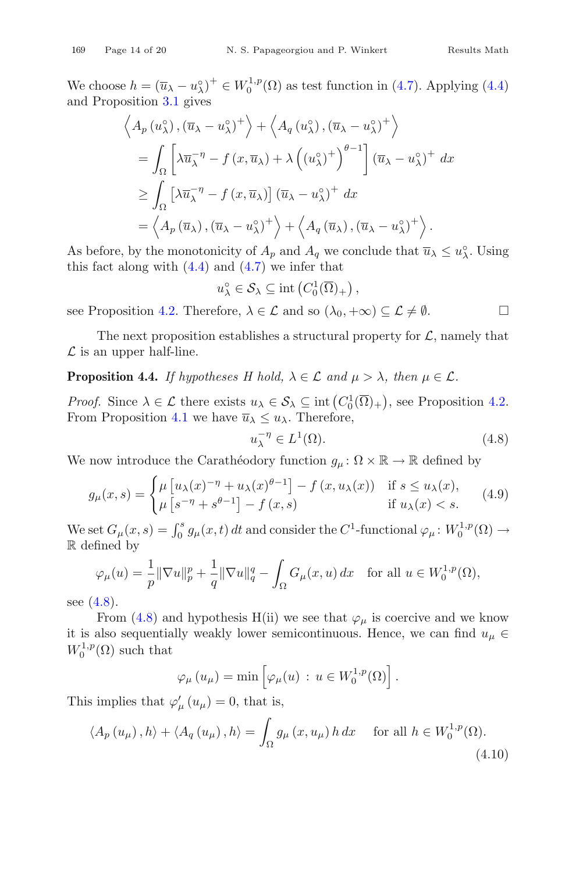We choose  $h = (\overline{u}_{\lambda} - u_{\lambda}^{\circ})^+ \in W_0^{1,p}(\Omega)$  as test function in [\(4.7\)](#page-12-3). Applying [\(4.4\)](#page-12-0) and Proposition [3.1](#page-4-1) gives

$$
\langle A_p(u_\lambda^\circ), (\overline{u}_\lambda - u_\lambda^\circ)^+ \rangle + \langle A_q(u_\lambda^\circ), (\overline{u}_\lambda - u_\lambda^\circ)^+ \rangle
$$
  
=  $\int_{\Omega} \left[ \lambda \overline{u}_\lambda^{-\eta} - f(x, \overline{u}_\lambda) + \lambda \left( (u_\lambda^\circ)^+ \right)^{\theta - 1} \right] (\overline{u}_\lambda - u_\lambda^\circ)^+ dx$   

$$
\geq \int_{\Omega} \left[ \lambda \overline{u}_\lambda^{-\eta} - f(x, \overline{u}_\lambda) \right] (\overline{u}_\lambda - u_\lambda^\circ)^+ dx
$$
  
=  $\langle A_p(\overline{u}_\lambda), (\overline{u}_\lambda - u_\lambda^\circ)^+ \rangle + \langle A_q(\overline{u}_\lambda), (\overline{u}_\lambda - u_\lambda^\circ)^+ \rangle.$ 

As before, by the monotonicity of  $A_p$  and  $A_q$  we conclude that  $\overline{u}_{\lambda} \leq u_{\lambda}^{\circ}$ . Using this fact along with  $(4, 4)$  and  $(4, 7)$  we infer that this fact along with  $(4.4)$  and  $(4.7)$  we infer that

<span id="page-13-3"></span>
$$
u_{\lambda}^{\circ} \in \mathcal{S}_{\lambda} \subseteq \text{int}\left(C_0^1(\overline{\Omega})_+\right),\,
$$

see Proposition [4.2.](#page-11-3) Therefore,  $\lambda \in \mathcal{L}$  and so  $(\lambda_0, +\infty) \subseteq \mathcal{L} \neq \emptyset$ .

The next proposition establishes a structural property for  $\mathcal{L}$ , namely that  $\mathcal L$  is an upper half-line.

**Proposition 4.4.** *If hypotheses H hold,*  $\lambda \in \mathcal{L}$  *and*  $\mu > \lambda$ *, then*  $\mu \in \mathcal{L}$ *.* 

*Proof.* Since  $\lambda \in \mathcal{L}$  there exists  $u_{\lambda} \in \mathcal{S}_{\lambda} \subseteq \text{int}(C_0^1(\overline{\Omega})_+)$ , see Proposition [4.2.](#page-11-3) From Proposition [4.1](#page-10-1) we have  $\overline{u}_{\lambda} \leq u_{\lambda}$ . Therefore,

$$
u_{\lambda}^{-\eta} \in L^1(\Omega). \tag{4.8}
$$

We now introduce the Carathéodory function  $g_{\mu} \colon \Omega \times \mathbb{R} \to \mathbb{R}$  defined by

$$
g_{\mu}(x,s) = \begin{cases} \mu \left[ u_{\lambda}(x)^{-\eta} + u_{\lambda}(x)^{\theta-1} \right] - f\left( x, u_{\lambda}(x) \right) & \text{if } s \le u_{\lambda}(x), \\ \mu \left[ s^{-\eta} + s^{\theta-1} \right] - f\left( x, s \right) & \text{if } u_{\lambda}(x) < s. \end{cases}
$$
(4.9)

We set  $G_{\mu}(x, s) = \int_0^s g_{\mu}(x, t) dt$  and consider the  $C^1$ -functional  $\varphi_{\mu} \colon W_0^{1, p}(\Omega) \to$ R defined by

$$
\varphi_{\mu}(u) = \frac{1}{p} \|\nabla u\|_{p}^{p} + \frac{1}{q} \|\nabla u\|_{q}^{q} - \int_{\Omega} G_{\mu}(x, u) dx \quad \text{for all } u \in W_0^{1, p}(\Omega),
$$

see  $(4.8)$ .

From [\(4.8\)](#page-13-0) and hypothesis H(ii) we see that  $\varphi_{\mu}$  is coercive and we know it is also sequentially weakly lower semicontinuous. Hence, we can find  $u_{\mu} \in$  $W_0^{1,p}(\Omega)$  such that

<span id="page-13-1"></span>
$$
\varphi_{\mu}(u_{\mu}) = \min \left[ \varphi_{\mu}(u) \, : \, u \in W_0^{1,p}(\Omega) \right].
$$

This implies that  $\varphi'_{\mu}(u_{\mu}) = 0$ , that is,

$$
\langle A_p(u_\mu), h \rangle + \langle A_q(u_\mu), h \rangle = \int_{\Omega} g_\mu(x, u_\mu) h \, dx \quad \text{for all } h \in W_0^{1, p}(\Omega). \tag{4.10}
$$

<span id="page-13-2"></span><span id="page-13-0"></span>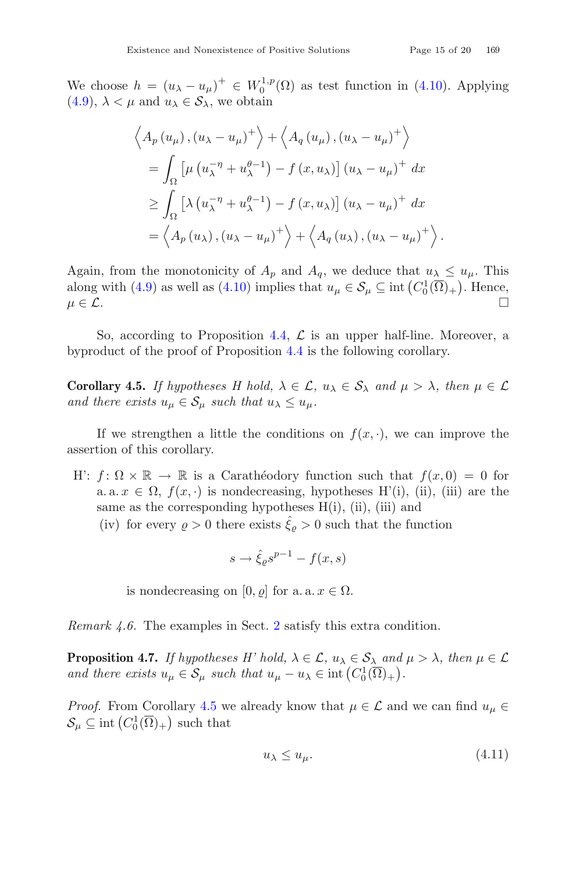We choose  $h = (u_{\lambda} - u_{\mu})^+ \in W_0^{1,p}(\Omega)$  as test function in [\(4.10\)](#page-13-1). Applying  $(4.0)$ ,  $\geq u$  and  $u \in S$ , we obtain [\(4.9\)](#page-13-2),  $\lambda < \mu$  and  $u_{\lambda} \in S_{\lambda}$ , we obtain

$$
\left\langle A_p(u_\mu), (u_\lambda - u_\mu)^+ \right\rangle + \left\langle A_q(u_\mu), (u_\lambda - u_\mu)^+ \right\rangle
$$
  
= 
$$
\int_{\Omega} \left[ \mu (u_\lambda^{-\eta} + u_\lambda^{\theta-1}) - f (x, u_\lambda) \right] (u_\lambda - u_\mu)^+ dx
$$
  

$$
\geq \int_{\Omega} \left[ \lambda (u_\lambda^{-\eta} + u_\lambda^{\theta-1}) - f (x, u_\lambda) \right] (u_\lambda - u_\mu)^+ dx
$$
  
= 
$$
\left\langle A_p(u_\lambda), (u_\lambda - u_\mu)^+ \right\rangle + \left\langle A_q(u_\lambda), (u_\lambda - u_\mu)^+ \right\rangle.
$$

Again, from the monotonicity of  $A_p$  and  $A_q$ , we deduce that  $u_\lambda \leq u_\mu$ . This along with [\(4.9\)](#page-13-2) as well as [\(4.10\)](#page-13-1) implies that  $u_{\mu} \in \mathcal{S}_{\mu} \subseteq \text{int}(C_0^1(\overline{\Omega})_+)$ . Hence,  $\mu \in \mathcal{L}$ .

So, according to Proposition [4.4,](#page-13-3)  $\mathcal L$  is an upper half-line. Moreover, a byproduct of the proof of Proposition [4.4](#page-13-3) is the following corollary.

**Corollary 4.5.** *If hypotheses H hold,*  $\lambda \in \mathcal{L}$ ,  $u_{\lambda} \in \mathcal{S}_{\lambda}$  *and*  $\mu > \lambda$ *, then*  $\mu \in \mathcal{L}$ *and there exists*  $u_{\mu} \in \mathcal{S}_{\mu}$  *such that*  $u_{\lambda} \leq u_{\mu}$ *.* 

If we strengthen a little the conditions on  $f(x, \cdot)$ , we can improve the assertion of this corollary.

- H:  $f: \Omega \times \mathbb{R} \to \mathbb{R}$  is a Caratheodory function such that  $f(x, 0) = 0$  for a. a.  $x \in \Omega$ ,  $f(x, \cdot)$  is nondecreasing, hypotheses H'(i), (ii), (iii) are the same as the corresponding hypotheses  $H(i)$ , (ii), (iii) and
	- (iv) for every  $\rho > 0$  there exists  $\hat{\xi}_{\rho} > 0$  such that the function

<span id="page-14-0"></span>
$$
s \to \hat{\xi}_{\varrho} s^{p-1} - f(x, s)
$$

is nondecreasing on [0,  $\rho$ ] for a. a.  $x \in \Omega$ .

*Remark 4.6.* The examples in Sect. [2](#page-2-2) satisfy this extra condition.

**Proposition 4.7.** *If hypotheses H' hold,*  $\lambda \in \mathcal{L}$ ,  $u_{\lambda} \in \mathcal{S}_{\lambda}$  *and*  $\mu > \lambda$ *, then*  $\mu \in \mathcal{L}$ *and there exists*  $u_{\mu} \in S_{\mu}$  *such that*  $u_{\mu} - u_{\lambda} \in \text{int}(C_0^1(\overline{\Omega})_+)$ .

*Proof.* From Corollary [4.5](#page-14-0) we already know that  $\mu \in \mathcal{L}$  and we can find  $u_{\mu} \in$  $\mathcal{S}_{\mu} \subseteq \text{int}\left(C_0^1(\overline{\Omega})_+\right)$  such that

<span id="page-14-1"></span>
$$
u_{\lambda} \le u_{\mu}.\tag{4.11}
$$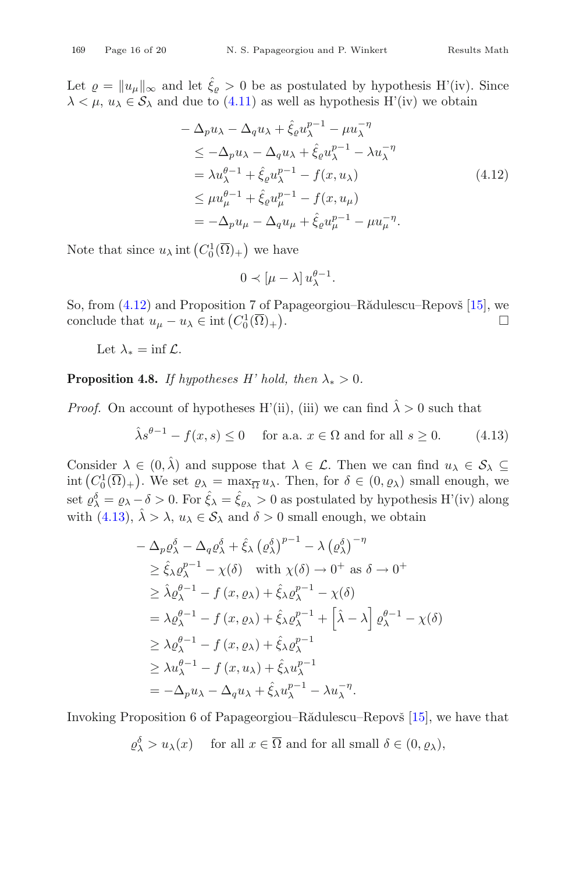Let  $\rho = ||u_\mu||_\infty$  and let  $\hat{\xi}_\rho > 0$  be as postulated by hypothesis H'(iv). Since  $\lambda \leq \mu$ ,  $u_{\lambda} \in S_{\lambda}$  and due to [\(4.11\)](#page-14-1) as well as hypothesis H'(iv) we obtain

$$
-\Delta_p u_\lambda - \Delta_q u_\lambda + \hat{\xi}_\rho u_\lambda^{p-1} - \mu u_\lambda^{-\eta} \n\leq -\Delta_p u_\lambda - \Delta_q u_\lambda + \hat{\xi}_\rho u_\lambda^{p-1} - \lambda u_\lambda^{-\eta} \n= \lambda u_\lambda^{\theta-1} + \hat{\xi}_\rho u_\lambda^{p-1} - f(x, u_\lambda) \n\leq \mu u_\mu^{\theta-1} + \hat{\xi}_\rho u_\mu^{p-1} - f(x, u_\mu) \n= -\Delta_p u_\mu - \Delta_q u_\mu + \hat{\xi}_\rho u_\mu^{p-1} - \mu u_\mu^{-\eta}.
$$
\n(4.12)

Note that since  $u_{\lambda}$  int  $(C_0^1(\overline{\Omega})_+)$  we have

<span id="page-15-1"></span><span id="page-15-0"></span>
$$
0 \prec [\mu - \lambda] u_{\lambda}^{\theta - 1}.
$$

So, from  $(4.12)$  and Proposition 7 of Papageorgiou–R $\ddot{a}$ dulescu–Repov $\ddot{b}$  [\[15\]](#page-18-5), we conclude that  $u_{\mu} - u_{\lambda} \in \text{int}\left(C_0^1(\overline{\Omega})_+\right)$ . The contract of the contract of  $\Box$ 

Let  $\lambda_* = \inf \mathcal{L}$ .

**Proposition 4.8.** *If hypotheses H' hold, then*  $\lambda_* > 0$ *.* 

*Proof.* On account of hypotheses H'(ii), (iii) we can find  $\hat{\lambda} > 0$  such that

$$
\hat{\lambda}s^{\theta - 1} - f(x, s) \le 0 \quad \text{ for a.a. } x \in \Omega \text{ and for all } s \ge 0. \tag{4.13}
$$

Consider  $\lambda \in (0, \hat{\lambda})$  and suppose that  $\lambda \in \mathcal{L}$ . Then we can find  $u_{\lambda} \in \mathcal{S}_{\lambda} \subseteq$ int  $(C_0^1(\overline{\Omega})_+)$ . We set  $\varrho_{\lambda} = \max_{\widehat{\lambda}} u_{\lambda}$ . Then, for  $\delta \in (0, \varrho_{\lambda})$  small enough, we set  $\varrho_{\lambda}^{\delta} = \varrho_{\lambda} - \delta > 0$ . For  $\hat{\xi}_{\lambda} = \hat{\xi}_{\varrho_{\lambda}} > 0$  as postulated by hypothesis H'(iv) along with [\(4.13\)](#page-15-1),  $\hat{\lambda} > \lambda$ ,  $u_{\lambda} \in S_{\lambda}$  and  $\delta > 0$  small enough, we obtain

$$
-\Delta_p \varrho_{\lambda}^{\delta} - \Delta_q \varrho_{\lambda}^{\delta} + \hat{\xi}_{\lambda} (\varrho_{\lambda}^{\delta})^{p-1} - \lambda (\varrho_{\lambda}^{\delta})^{-\eta}
$$
  
\n
$$
\geq \hat{\xi}_{\lambda} \varrho_{\lambda}^{p-1} - \chi(\delta) \quad \text{with } \chi(\delta) \to 0^{+} \text{ as } \delta \to 0^{+}
$$
  
\n
$$
\geq \hat{\lambda} \varrho_{\lambda}^{q-1} - f (x, \varrho_{\lambda}) + \hat{\xi}_{\lambda} \varrho_{\lambda}^{p-1} - \chi(\delta)
$$
  
\n
$$
= \lambda \varrho_{\lambda}^{q-1} - f (x, \varrho_{\lambda}) + \hat{\xi}_{\lambda} \varrho_{\lambda}^{p-1} + \left[ \hat{\lambda} - \lambda \right] \varrho_{\lambda}^{q-1} - \chi(\delta)
$$
  
\n
$$
\geq \lambda \varrho_{\lambda}^{q-1} - f (x, \varrho_{\lambda}) + \hat{\xi}_{\lambda} \varrho_{\lambda}^{p-1}
$$
  
\n
$$
\geq \lambda u_{\lambda}^{q-1} - f (x, u_{\lambda}) + \hat{\xi}_{\lambda} u_{\lambda}^{p-1}
$$
  
\n
$$
= -\Delta_p u_{\lambda} - \Delta_q u_{\lambda} + \hat{\xi}_{\lambda} u_{\lambda}^{p-1} - \lambda u_{\lambda}^{-\eta}.
$$

Invoking Proposition 6 of Papageorgiou–R $\ddot{\text{a}}$ dulescu–Repov $\ddot{\text{s}}$  [\[15](#page-18-5)], we have that

$$
\varrho_{\lambda}^{\delta} > u_{\lambda}(x)
$$
 for all  $x \in \overline{\Omega}$  and for all small  $\delta \in (0, \varrho_{\lambda}),$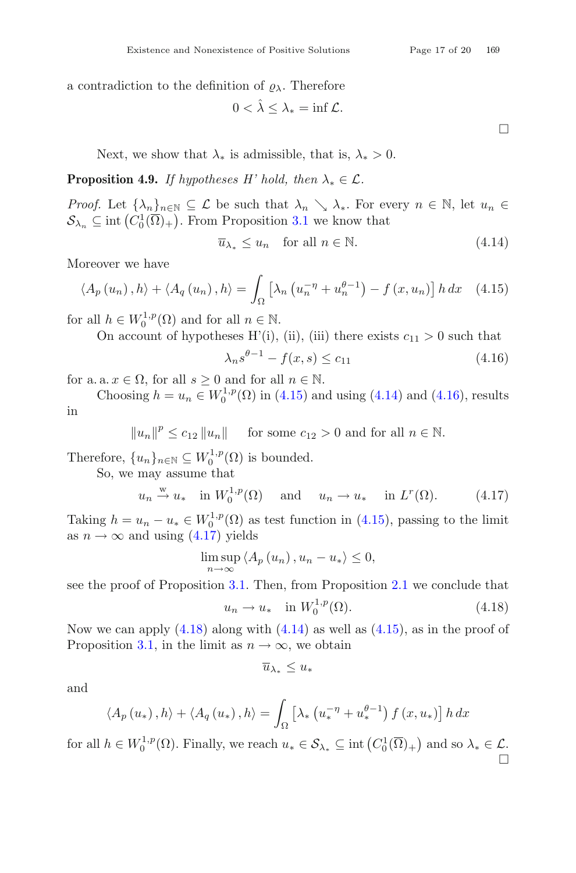a contradiction to the definition of  $\rho_{\lambda}$ . Therefore

$$
0 < \hat{\lambda} \le \lambda_* = \inf \mathcal{L}.
$$

<span id="page-16-2"></span><span id="page-16-1"></span><span id="page-16-0"></span> $\Box$ 

Next, we show that  $\lambda_*$  is admissible, that is,  $\lambda_* > 0$ .

**Proposition 4.9.** *If hypotheses H' hold, then*  $\lambda_* \in \mathcal{L}$ *.* 

*Proof.* Let  $\{\lambda_n\}_{n\in\mathbb{N}}\subseteq\mathcal{L}$  be such that  $\lambda_n\setminus\lambda_*$ . For every  $n\in\mathbb{N}$ , let  $u_n\in\mathcal{L}$  $S_{\lambda_n} \subseteq \text{int}\left(C_0^1(\overline{\Omega})_+\right)$ . From Proposition [3.1](#page-4-1) we know that

$$
\overline{u}_{\lambda_*} \le u_n \quad \text{for all } n \in \mathbb{N}.\tag{4.14}
$$

Moreover we have

$$
\langle A_p(u_n), h \rangle + \langle A_q(u_n), h \rangle = \int_{\Omega} \left[ \lambda_n \left( u_n^{-\eta} + u_n^{\theta - 1} \right) - f(x, u_n) \right] h \, dx \quad (4.15)
$$

for all  $h \in W_0^{1,p}(\Omega)$  and for all  $n \in \mathbb{N}$ .

On account of hypotheses H'(i), (ii), (iii) there exists  $c_{11} > 0$  such that

$$
\lambda_n s^{\theta - 1} - f(x, s) \le c_{11} \tag{4.16}
$$

for a. a.  $x \in \Omega$ , for all  $s \geq 0$  and for all  $n \in \mathbb{N}$ .

Choosing  $h = u_n \in W_0^{1,p}(\Omega)$  in [\(4.15\)](#page-16-0) and using [\(4.14\)](#page-16-1) and [\(4.16\)](#page-16-2), results in

 $||u_n||^p \le c_{12} ||u_n||$  for some  $c_{12} > 0$  and for all  $n \in \mathbb{N}$ .

Therefore,  $\{u_n\}_{n \in \mathbb{N}} \subseteq W_0^{1,p}(\Omega)$  is bounded.

So, we may assume that

$$
u_n \stackrel{w}{\rightarrow} u_*
$$
 in  $W_0^{1,p}(\Omega)$  and  $u_n \rightarrow u_*$  in  $L^r(\Omega)$ . (4.17)

Taking  $h = u_n - u_* \in W_0^{1,p}(\Omega)$  as test function in [\(4.15\)](#page-16-0), passing to the limit as  $n \to \infty$  and using [\(4.17\)](#page-16-3) yields

$$
\limsup_{n \to \infty} \langle A_p(u_n), u_n - u_* \rangle \le 0,
$$

see the proof of Proposition [3.1.](#page-4-1) Then, from Proposition [2.1](#page-2-1) we conclude that

<span id="page-16-3"></span>
$$
u_n \to u_* \quad \text{in } W_0^{1,p}(\Omega). \tag{4.18}
$$

Now we can apply  $(4.18)$  along with  $(4.14)$  as well as  $(4.15)$ , as in the proof of Proposition [3.1,](#page-4-1) in the limit as  $n \to \infty$ , we obtain

<span id="page-16-4"></span>
$$
\overline{u}_{\lambda_*} \leq u_*
$$

and

$$
\langle A_p(u_*) , h \rangle + \langle A_q(u_*) , h \rangle = \int_{\Omega} \left[ \lambda_* \left( u_*^{-\eta} + u_*^{\theta-1} \right) f(x, u_*) \right] h \, dx
$$

for all  $h \in W_0^{1,p}(\Omega)$ . Finally, we reach  $u_* \in \mathcal{S}_{\lambda_*} \subseteq \text{int}\left(C_0^1(\overline{\Omega})_+\right)$  and so  $\lambda_* \in \mathcal{L}$ .  $\Box$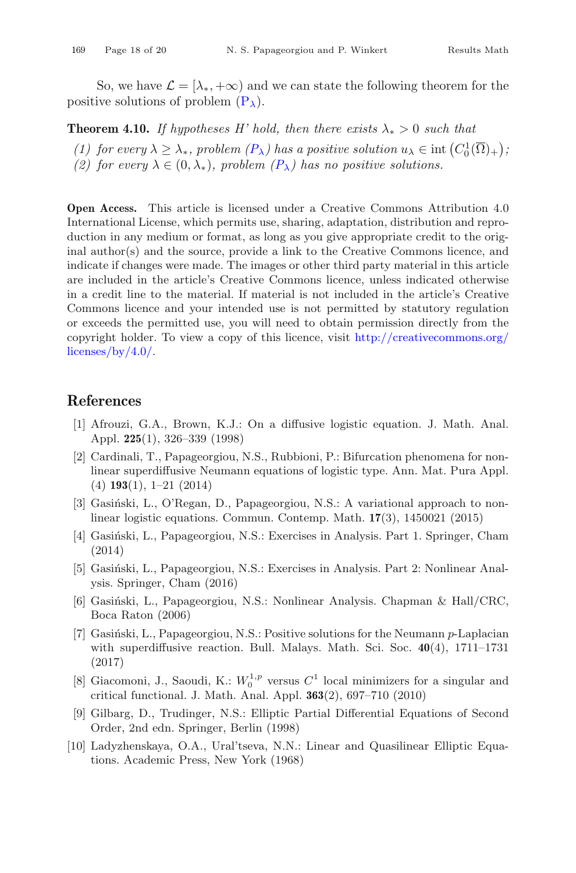So, we have  $\mathcal{L} = [\lambda_*, +\infty)$  and we can state the following theorem for the positive solutions of problem  $(P_\lambda)$  $(P_\lambda)$ .

**Theorem 4.10.** *If hypotheses H' hold, then there exists*  $\lambda_* > 0$  *such that* 

(1) for every  $\lambda \geq \lambda_*$ , problem  $(P_\lambda)$  $(P_\lambda)$  has a positive solution  $u_\lambda \in \text{int}(C_0^1(\overline{\Omega})_+)$ ;<br>(2) for every  $\lambda \in (0, \lambda_0)$  problem  $(P_\lambda)$  has no positive solutions *(2) for every*  $\lambda \in (0, \lambda_*)$ *, problem*  $(P_\lambda)$  $(P_\lambda)$  has no positive solutions.

**Open Access.** This article is licensed under a Creative Commons Attribution 4.0 International License, which permits use, sharing, adaptation, distribution and reproduction in any medium or format, as long as you give appropriate credit to the original author(s) and the source, provide a link to the Creative Commons licence, and indicate if changes were made. The images or other third party material in this article are included in the article's Creative Commons licence, unless indicated otherwise in a credit line to the material. If material is not included in the article's Creative Commons licence and your intended use is not permitted by statutory regulation or exceeds the permitted use, you will need to obtain permission directly from the copyright holder. To view a copy of this licence, visit [http://creativecommons.org/](http://creativecommons.org/licenses/by/4.0/) [licenses/by/4.0/.](http://creativecommons.org/licenses/by/4.0/)

### <span id="page-17-0"></span>**References**

- <span id="page-17-1"></span>[1] Afrouzi, G.A., Brown, K.J.: On a diffusive logistic equation. J. Math. Anal. Appl. **225**(1), 326–339 (1998)
- <span id="page-17-3"></span>[2] Cardinali, T., Papageorgiou, N.S., Rubbioni, P.: Bifurcation phenomena for nonlinear superdiffusive Neumann equations of logistic type. Ann. Mat. Pura Appl. (4) **193**(1), 1–21 (2014)
- <span id="page-17-2"></span>[3] Gasiński, L., O'Regan, D., Papageorgiou, N.S.: A variational approach to nonlinear logistic equations. Commun. Contemp. Math. **17**(3), 1450021 (2015)
- <span id="page-17-7"></span>[4] Gasiński, L., Papageorgiou, N.S.: Exercises in Analysis. Part 1. Springer, Cham (2014)
- <span id="page-17-5"></span>[5] Gasiński, L., Papageorgiou, N.S.: Exercises in Analysis. Part 2: Nonlinear Analysis. Springer, Cham (2016)
- <span id="page-17-6"></span>[6] Gasiński, L., Papageorgiou, N.S.: Nonlinear Analysis. Chapman & Hall/CRC, Boca Raton (2006)
- <span id="page-17-4"></span>[7] Gasinski, L., Papageorgiou, N.S.: Positive solutions for the Neumann  $p$ -Laplacian with superdiffusive reaction. Bull. Malays. Math. Sci. Soc. **40**(4), 1711–1731 (2017)
- <span id="page-17-10"></span>[8] Giacomoni, J., Saoudi, K.:  $W_0^{1,p}$  versus  $C^1$  local minimizers for a singular and critical functional. J. Math. Anal. Appl. **363**(2), 697–710 (2010)
- <span id="page-17-9"></span>[9] Gilbarg, D., Trudinger, N.S.: Elliptic Partial Differential Equations of Second Order, 2nd edn. Springer, Berlin (1998)
- <span id="page-17-8"></span>[10] Ladyzhenskaya, O.A., Ural'tseva, N.N.: Linear and Quasilinear Elliptic Equations. Academic Press, New York (1968)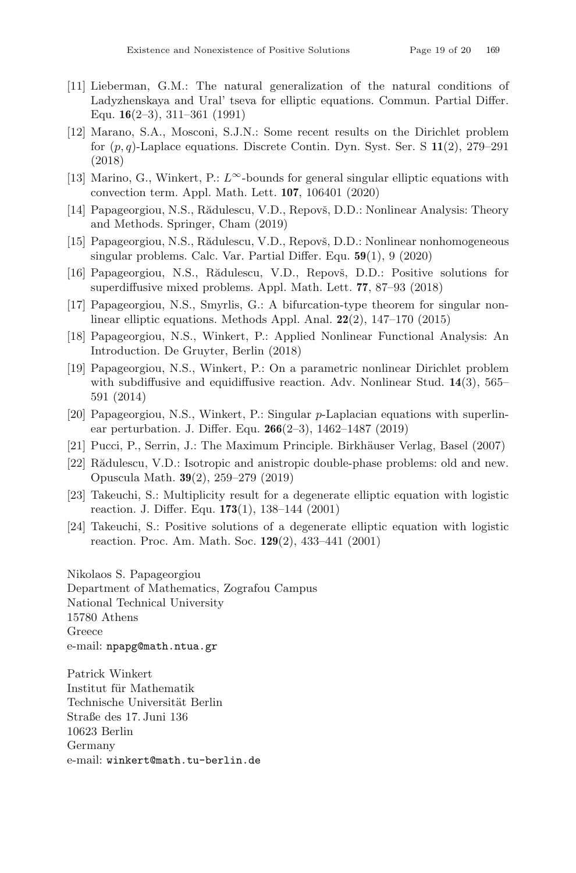- <span id="page-18-10"></span>[11] Lieberman, G.M.: The natural generalization of the natural conditions of Ladyzhenskaya and Ural' tseva for elliptic equations. Commun. Partial Differ. Equ. **16**(2–3), 311–361 (1991)
- <span id="page-18-6"></span>[12] Marano, S.A., Mosconi, S.J.N.: Some recent results on the Dirichlet problem for (p, q)-Laplace equations. Discrete Contin. Dyn. Syst. Ser. S **11**(2), 279–291 (2018)
- <span id="page-18-12"></span>[13] Marino, G., Winkert, P.:  $L^{\infty}$ -bounds for general singular elliptic equations with convection term. Appl. Math. Lett. **107**, 106401 (2020)
- <span id="page-18-9"></span>[14] Papageorgiou, N.S., Rădulescu, V.D., Repovš, D.D.: Nonlinear Analysis: Theory and Methods. Springer, Cham (2019)
- <span id="page-18-5"></span>[15] Papageorgiou, N.S., Rădulescu, V.D., Repovš, D.D.: Nonlinear nonhomogeneous singular problems. Calc. Var. Partial Differ. Equ. **59**(1), 9 (2020)
- <span id="page-18-2"></span>[16] Papageorgiou, N.S., Rădulescu, V.D., Repovš, D.D.: Positive solutions for superdiffusive mixed problems. Appl. Math. Lett. **77**, 87–93 (2018)
- <span id="page-18-13"></span>[17] Papageorgiou, N.S., Smyrlis, G.: A bifurcation-type theorem for singular nonlinear elliptic equations. Methods Appl. Anal. **22**(2), 147–170 (2015)
- <span id="page-18-8"></span>[18] Papageorgiou, N.S., Winkert, P.: Applied Nonlinear Functional Analysis: An Introduction. De Gruyter, Berlin (2018)
- <span id="page-18-3"></span>[19] Papageorgiou, N.S., Winkert, P.: On a parametric nonlinear Dirichlet problem with subdiffusive and equidiffusive reaction. Adv. Nonlinear Stud. **14**(3), 565– 591 (2014)
- <span id="page-18-4"></span>[20] Papageorgiou, N.S., Winkert, P.: Singular p-Laplacian equations with superlinear perturbation. J. Differ. Equ. **266**(2–3), 1462–1487 (2019)
- <span id="page-18-11"></span>[21] Pucci, P., Serrin, J.: The Maximum Principle. Birkhäuser Verlag, Basel (2007)
- <span id="page-18-7"></span>[22] Rădulescu, V.D.: Isotropic and anistropic double-phase problems: old and new. Opuscula Math. **39**(2), 259–279 (2019)
- <span id="page-18-0"></span>[23] Takeuchi, S.: Multiplicity result for a degenerate elliptic equation with logistic reaction. J. Differ. Equ. **173**(1), 138–144 (2001)
- <span id="page-18-1"></span>[24] Takeuchi, S.: Positive solutions of a degenerate elliptic equation with logistic reaction. Proc. Am. Math. Soc. **129**(2), 433–441 (2001)

Nikolaos S. Papageorgiou Department of Mathematics, Zografou Campus National Technical University 15780 Athens Greece e-mail: npapg@math.ntua.gr

Patrick Winkert Institut für Mathematik Technische Universität Berlin Straße des 17. Juni 136 10623 Berlin Germany e-mail: winkert@math.tu-berlin.de